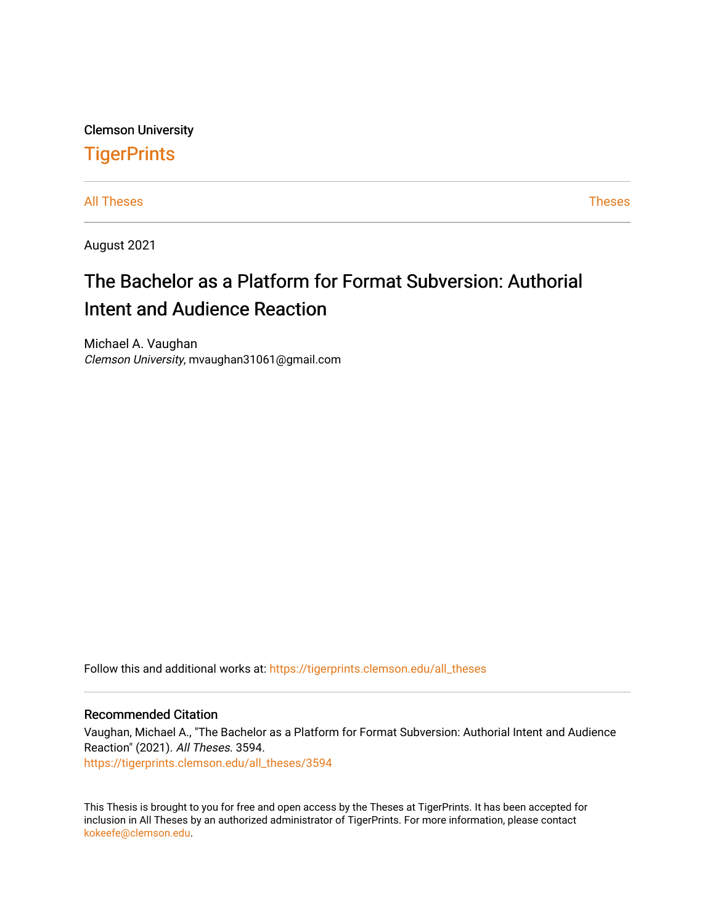Clemson University **TigerPrints** 

[All Theses](https://tigerprints.clemson.edu/all_theses) **Theses** [Theses](https://tigerprints.clemson.edu/theses) **Theses** 

August 2021

# The Bachelor as a Platform for Format Subversion: Authorial Intent and Audience Reaction

Michael A. Vaughan Clemson University, mvaughan31061@gmail.com

Follow this and additional works at: [https://tigerprints.clemson.edu/all\\_theses](https://tigerprints.clemson.edu/all_theses?utm_source=tigerprints.clemson.edu%2Fall_theses%2F3594&utm_medium=PDF&utm_campaign=PDFCoverPages) 

#### Recommended Citation

Vaughan, Michael A., "The Bachelor as a Platform for Format Subversion: Authorial Intent and Audience Reaction" (2021). All Theses. 3594. [https://tigerprints.clemson.edu/all\\_theses/3594](https://tigerprints.clemson.edu/all_theses/3594?utm_source=tigerprints.clemson.edu%2Fall_theses%2F3594&utm_medium=PDF&utm_campaign=PDFCoverPages) 

This Thesis is brought to you for free and open access by the Theses at TigerPrints. It has been accepted for inclusion in All Theses by an authorized administrator of TigerPrints. For more information, please contact [kokeefe@clemson.edu](mailto:kokeefe@clemson.edu).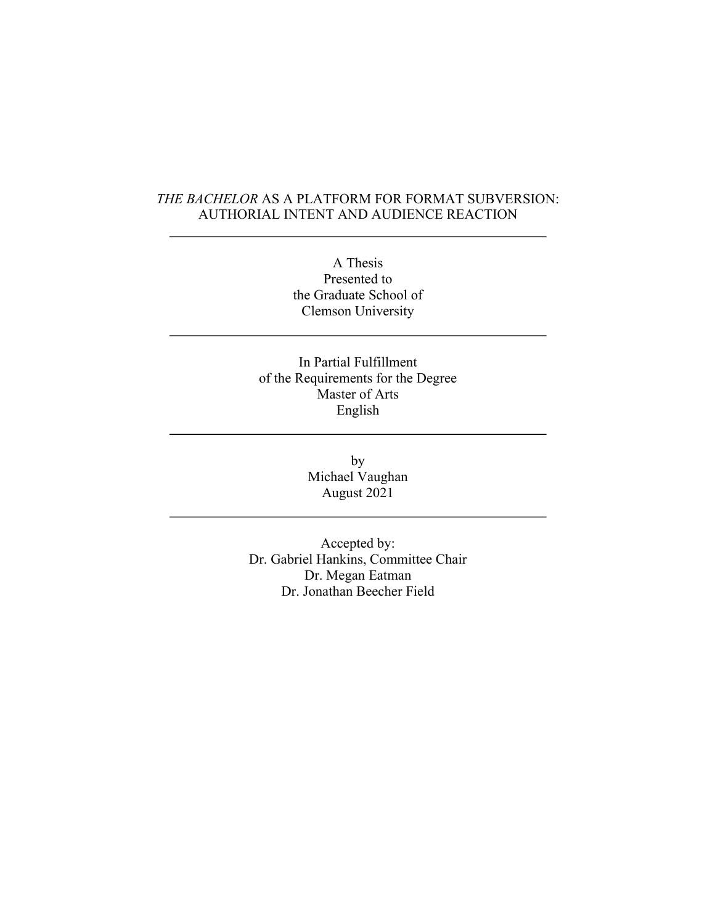### *THE BACHELOR* AS A PLATFORM FOR FORMAT SUBVERSION: AUTHORIAL INTENT AND AUDIENCE REACTION

A Thesis Presented to the Graduate School of Clemson University

In Partial Fulfillment of the Requirements for the Degree Master of Arts English

> by Michael Vaughan August 2021

Accepted by: Dr. Gabriel Hankins, Committee Chair Dr. Megan Eatman Dr. Jonathan Beecher Field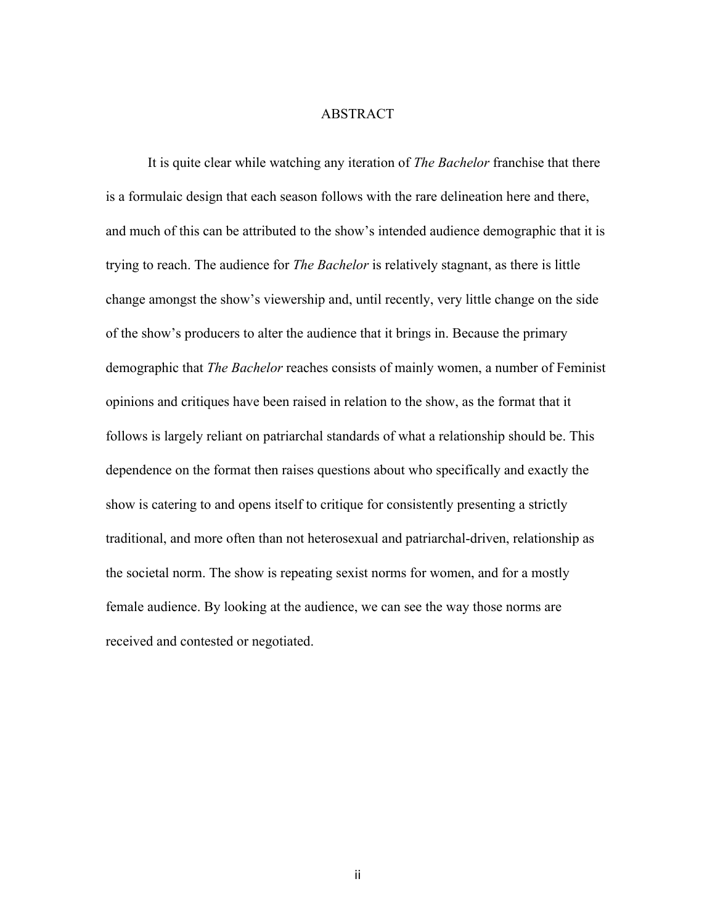#### ABSTRACT

It is quite clear while watching any iteration of *The Bachelor* franchise that there is a formulaic design that each season follows with the rare delineation here and there, and much of this can be attributed to the show's intended audience demographic that it is trying to reach. The audience for *The Bachelor* is relatively stagnant, as there is little change amongst the show's viewership and, until recently, very little change on the side of the show's producers to alter the audience that it brings in. Because the primary demographic that *The Bachelor* reaches consists of mainly women, a number of Feminist opinions and critiques have been raised in relation to the show, as the format that it follows is largely reliant on patriarchal standards of what a relationship should be. This dependence on the format then raises questions about who specifically and exactly the show is catering to and opens itself to critique for consistently presenting a strictly traditional, and more often than not heterosexual and patriarchal-driven, relationship as the societal norm. The show is repeating sexist norms for women, and for a mostly female audience. By looking at the audience, we can see the way those norms are received and contested or negotiated.

ii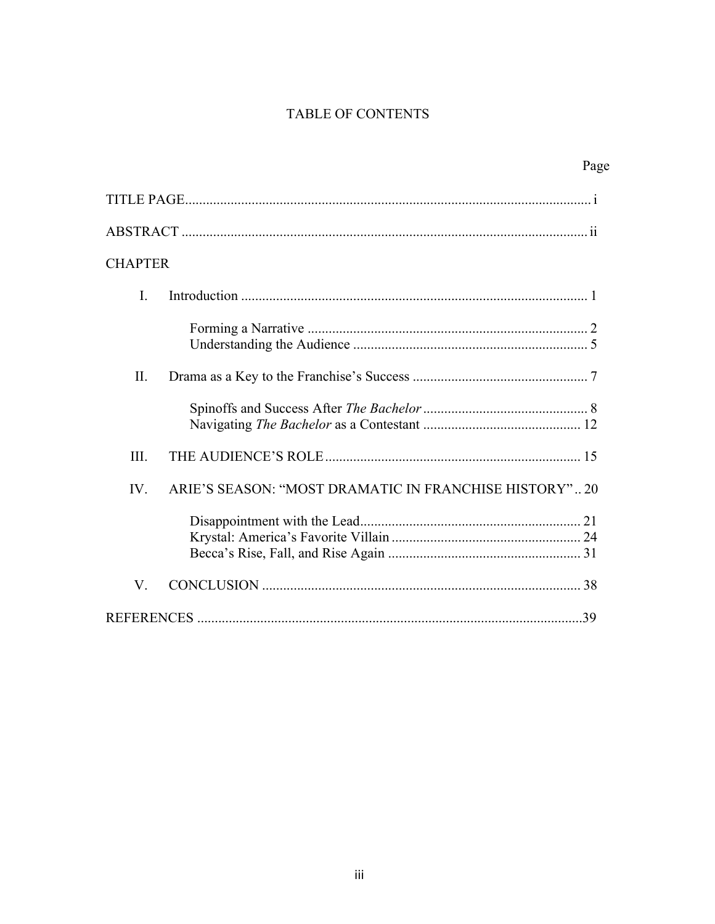## TABLE OF CONTENTS

|                | Page                                                  |  |
|----------------|-------------------------------------------------------|--|
|                |                                                       |  |
|                |                                                       |  |
| <b>CHAPTER</b> |                                                       |  |
| I.             |                                                       |  |
|                |                                                       |  |
| Π.             |                                                       |  |
|                |                                                       |  |
| III.           |                                                       |  |
| IV.            | ARIE'S SEASON: "MOST DRAMATIC IN FRANCHISE HISTORY"20 |  |
|                |                                                       |  |
| V.             |                                                       |  |
|                |                                                       |  |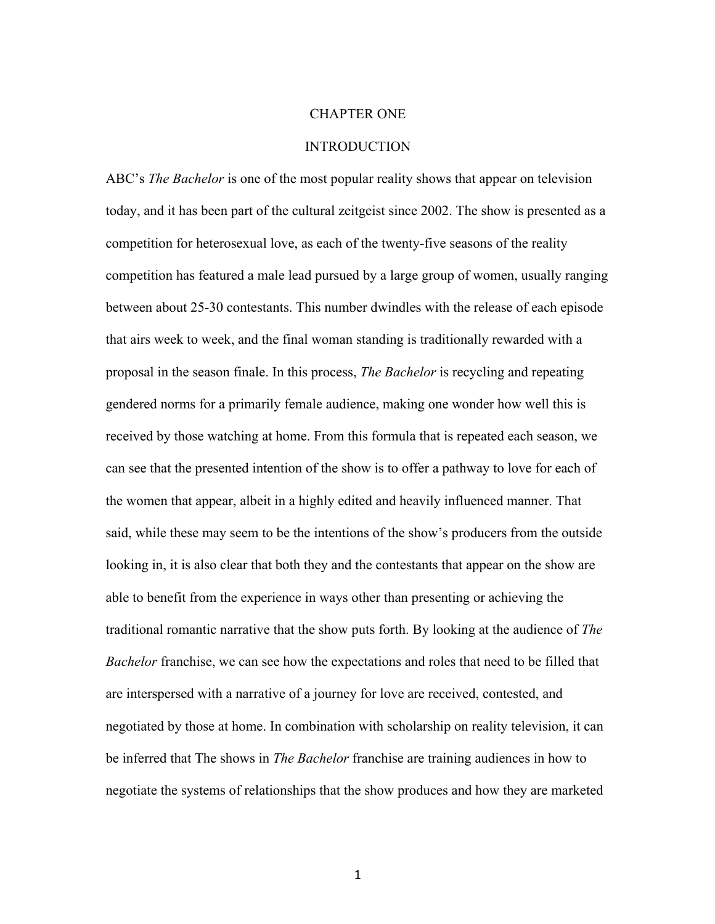#### CHAPTER ONE

#### **INTRODUCTION**

ABC's *The Bachelor* is one of the most popular reality shows that appear on television today, and it has been part of the cultural zeitgeist since 2002. The show is presented as a competition for heterosexual love, as each of the twenty-five seasons of the reality competition has featured a male lead pursued by a large group of women, usually ranging between about 25-30 contestants. This number dwindles with the release of each episode that airs week to week, and the final woman standing is traditionally rewarded with a proposal in the season finale. In this process, *The Bachelor* is recycling and repeating gendered norms for a primarily female audience, making one wonder how well this is received by those watching at home. From this formula that is repeated each season, we can see that the presented intention of the show is to offer a pathway to love for each of the women that appear, albeit in a highly edited and heavily influenced manner. That said, while these may seem to be the intentions of the show's producers from the outside looking in, it is also clear that both they and the contestants that appear on the show are able to benefit from the experience in ways other than presenting or achieving the traditional romantic narrative that the show puts forth. By looking at the audience of *The Bachelor* franchise, we can see how the expectations and roles that need to be filled that are interspersed with a narrative of a journey for love are received, contested, and negotiated by those at home. In combination with scholarship on reality television, it can be inferred that The shows in *The Bachelor* franchise are training audiences in how to negotiate the systems of relationships that the show produces and how they are marketed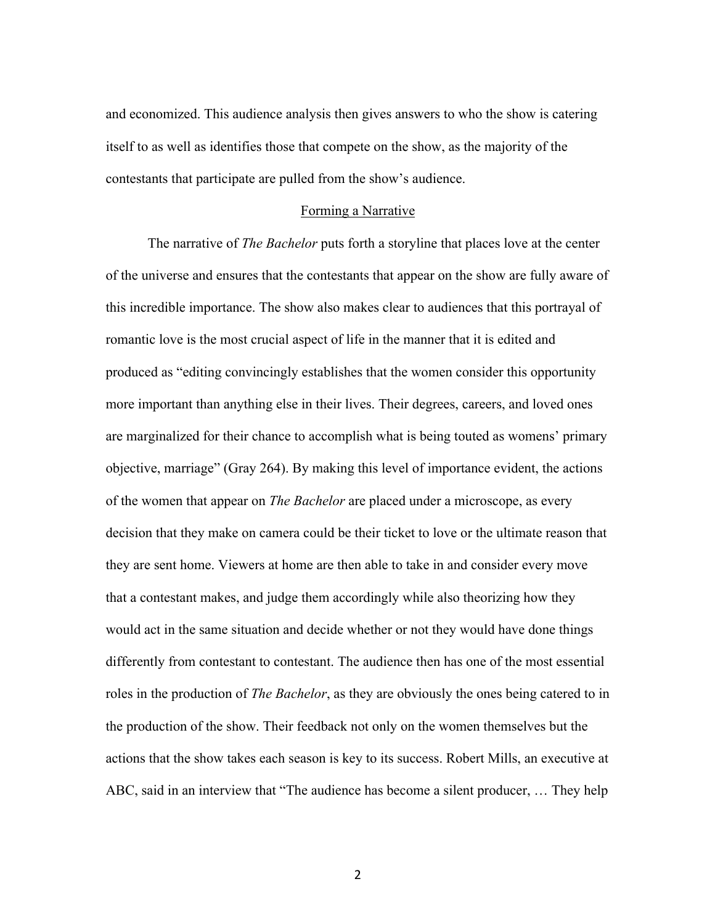and economized. This audience analysis then gives answers to who the show is catering itself to as well as identifies those that compete on the show, as the majority of the contestants that participate are pulled from the show's audience.

#### Forming a Narrative

The narrative of *The Bachelor* puts forth a storyline that places love at the center of the universe and ensures that the contestants that appear on the show are fully aware of this incredible importance. The show also makes clear to audiences that this portrayal of romantic love is the most crucial aspect of life in the manner that it is edited and produced as "editing convincingly establishes that the women consider this opportunity more important than anything else in their lives. Their degrees, careers, and loved ones are marginalized for their chance to accomplish what is being touted as womens' primary objective, marriage" (Gray 264). By making this level of importance evident, the actions of the women that appear on *The Bachelor* are placed under a microscope, as every decision that they make on camera could be their ticket to love or the ultimate reason that they are sent home. Viewers at home are then able to take in and consider every move that a contestant makes, and judge them accordingly while also theorizing how they would act in the same situation and decide whether or not they would have done things differently from contestant to contestant. The audience then has one of the most essential roles in the production of *The Bachelor*, as they are obviously the ones being catered to in the production of the show. Their feedback not only on the women themselves but the actions that the show takes each season is key to its success. Robert Mills, an executive at ABC, said in an interview that "The audience has become a silent producer, … They help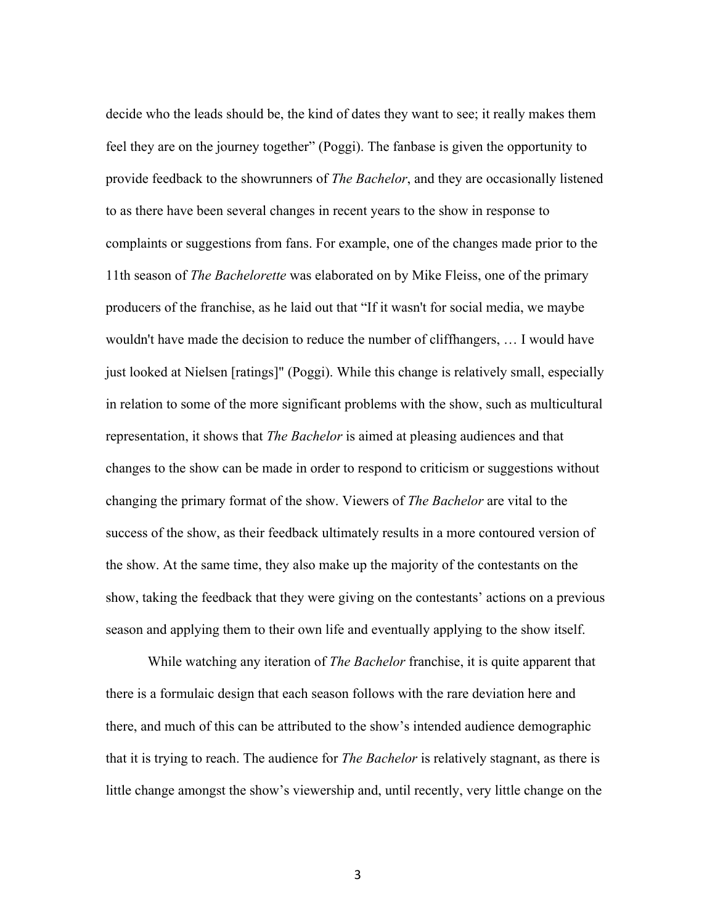decide who the leads should be, the kind of dates they want to see; it really makes them feel they are on the journey together" (Poggi). The fanbase is given the opportunity to provide feedback to the showrunners of *The Bachelor*, and they are occasionally listened to as there have been several changes in recent years to the show in response to complaints or suggestions from fans. For example, one of the changes made prior to the 11th season of *The Bachelorette* was elaborated on by Mike Fleiss, one of the primary producers of the franchise, as he laid out that "If it wasn't for social media, we maybe wouldn't have made the decision to reduce the number of cliffhangers, … I would have just looked at Nielsen [ratings]" (Poggi). While this change is relatively small, especially in relation to some of the more significant problems with the show, such as multicultural representation, it shows that *The Bachelor* is aimed at pleasing audiences and that changes to the show can be made in order to respond to criticism or suggestions without changing the primary format of the show. Viewers of *The Bachelor* are vital to the success of the show, as their feedback ultimately results in a more contoured version of the show. At the same time, they also make up the majority of the contestants on the show, taking the feedback that they were giving on the contestants' actions on a previous season and applying them to their own life and eventually applying to the show itself.

While watching any iteration of *The Bachelor* franchise, it is quite apparent that there is a formulaic design that each season follows with the rare deviation here and there, and much of this can be attributed to the show's intended audience demographic that it is trying to reach. The audience for *The Bachelor* is relatively stagnant, as there is little change amongst the show's viewership and, until recently, very little change on the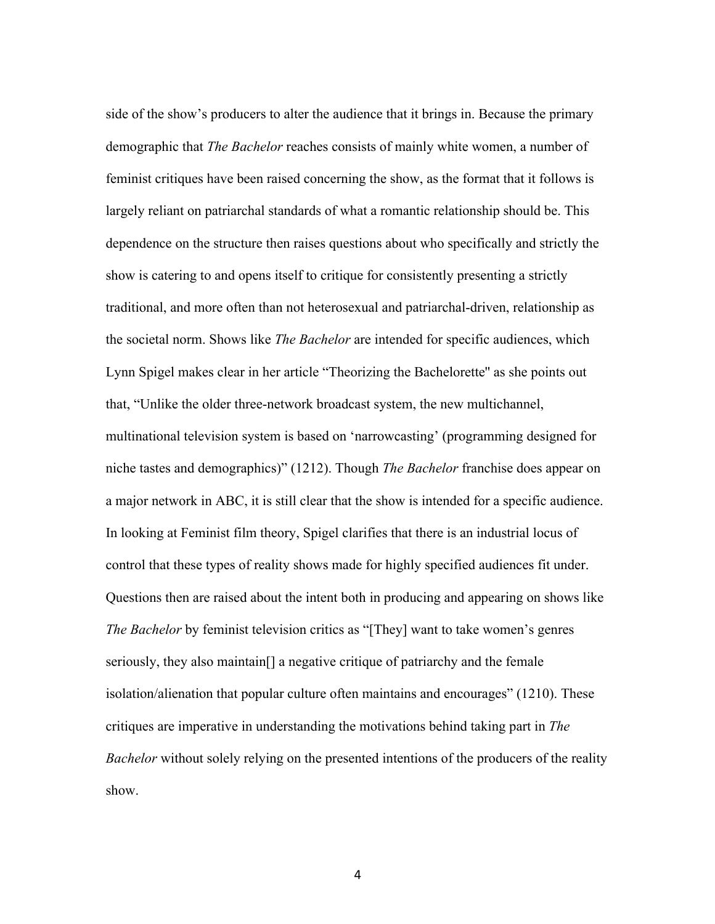side of the show's producers to alter the audience that it brings in. Because the primary demographic that *The Bachelor* reaches consists of mainly white women, a number of feminist critiques have been raised concerning the show, as the format that it follows is largely reliant on patriarchal standards of what a romantic relationship should be. This dependence on the structure then raises questions about who specifically and strictly the show is catering to and opens itself to critique for consistently presenting a strictly traditional, and more often than not heterosexual and patriarchal-driven, relationship as the societal norm. Shows like *The Bachelor* are intended for specific audiences, which Lynn Spigel makes clear in her article "Theorizing the Bachelorette'' as she points out that, "Unlike the older three-network broadcast system, the new multichannel, multinational television system is based on 'narrowcasting' (programming designed for niche tastes and demographics)" (1212). Though *The Bachelor* franchise does appear on a major network in ABC, it is still clear that the show is intended for a specific audience. In looking at Feminist film theory, Spigel clarifies that there is an industrial locus of control that these types of reality shows made for highly specified audiences fit under. Questions then are raised about the intent both in producing and appearing on shows like *The Bachelor* by feminist television critics as "[They] want to take women's genres seriously, they also maintain[] a negative critique of patriarchy and the female isolation/alienation that popular culture often maintains and encourages" (1210). These critiques are imperative in understanding the motivations behind taking part in *The Bachelor* without solely relying on the presented intentions of the producers of the reality show.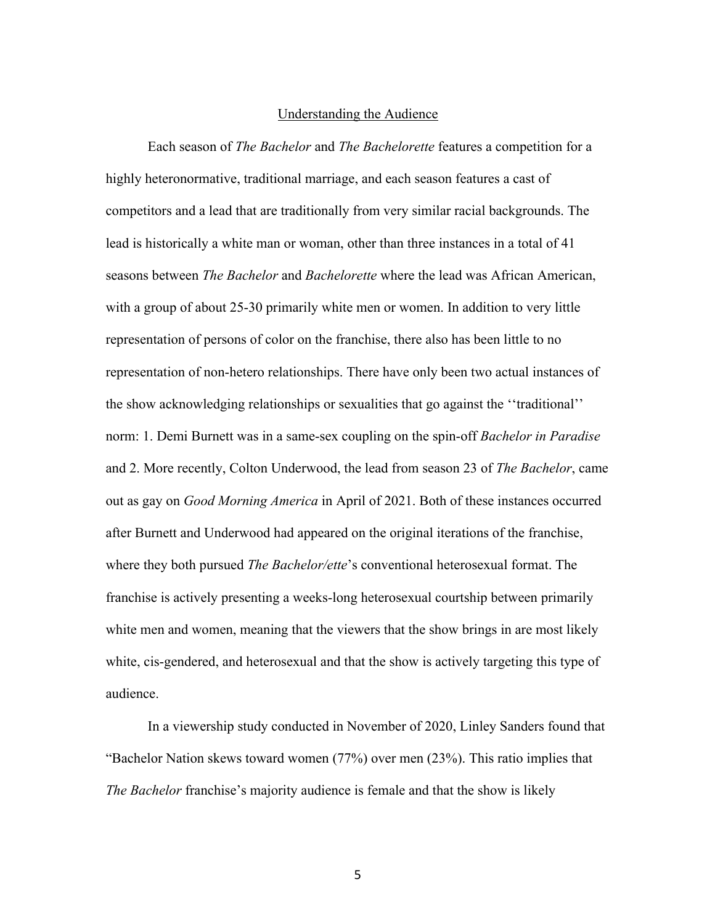#### Understanding the Audience

Each season of *The Bachelor* and *The Bachelorette* features a competition for a highly heteronormative, traditional marriage, and each season features a cast of competitors and a lead that are traditionally from very similar racial backgrounds. The lead is historically a white man or woman, other than three instances in a total of 41 seasons between *The Bachelor* and *Bachelorette* where the lead was African American, with a group of about 25-30 primarily white men or women. In addition to very little representation of persons of color on the franchise, there also has been little to no representation of non-hetero relationships. There have only been two actual instances of the show acknowledging relationships or sexualities that go against the ''traditional'' norm: 1. Demi Burnett was in a same-sex coupling on the spin-off *Bachelor in Paradise* and 2. More recently, Colton Underwood, the lead from season 23 of *The Bachelor*, came out as gay on *Good Morning America* in April of 2021. Both of these instances occurred after Burnett and Underwood had appeared on the original iterations of the franchise, where they both pursued *The Bachelor/ette*'s conventional heterosexual format. The franchise is actively presenting a weeks-long heterosexual courtship between primarily white men and women, meaning that the viewers that the show brings in are most likely white, cis-gendered, and heterosexual and that the show is actively targeting this type of audience.

In a viewership study conducted in November of 2020, Linley Sanders found that "Bachelor Nation skews toward women (77%) over men (23%). This ratio implies that *The Bachelor* franchise's majority audience is female and that the show is likely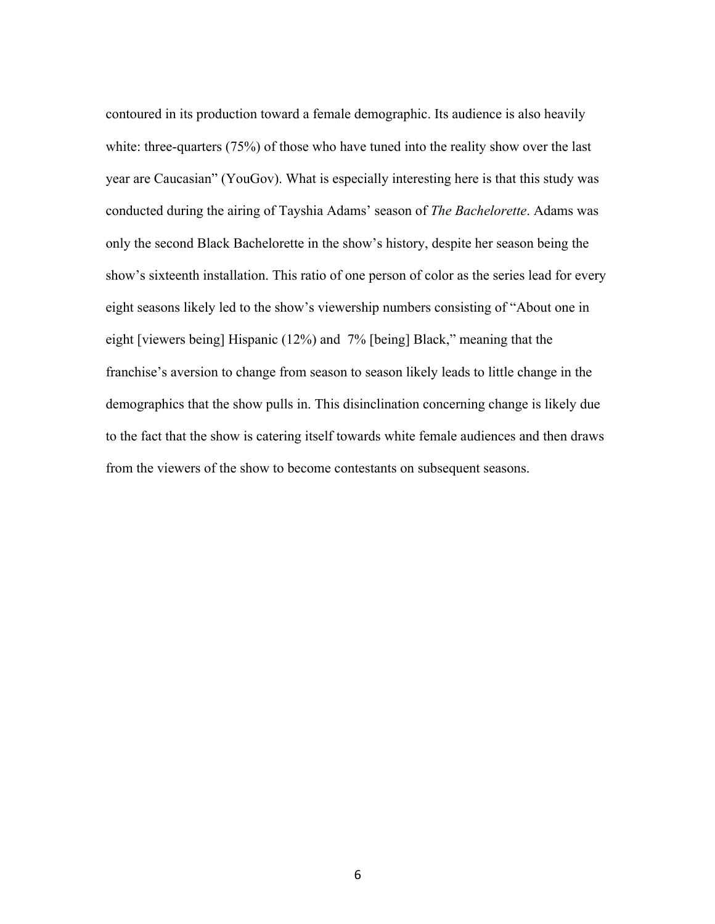contoured in its production toward a female demographic. Its audience is also heavily white: three-quarters (75%) of those who have tuned into the reality show over the last year are Caucasian" (YouGov). What is especially interesting here is that this study was conducted during the airing of Tayshia Adams' season of *The Bachelorette*. Adams was only the second Black Bachelorette in the show's history, despite her season being the show's sixteenth installation. This ratio of one person of color as the series lead for every eight seasons likely led to the show's viewership numbers consisting of "About one in eight [viewers being] Hispanic (12%) and 7% [being] Black," meaning that the franchise's aversion to change from season to season likely leads to little change in the demographics that the show pulls in. This disinclination concerning change is likely due to the fact that the show is catering itself towards white female audiences and then draws from the viewers of the show to become contestants on subsequent seasons.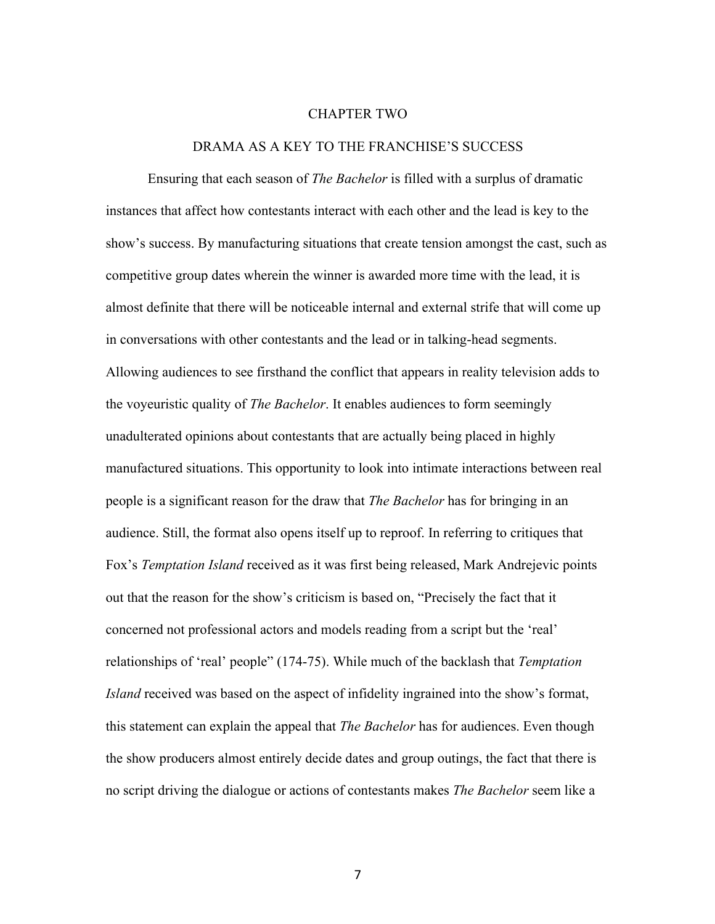#### CHAPTER TWO

#### DRAMA AS A KEY TO THE FRANCHISE'S SUCCESS

Ensuring that each season of *The Bachelor* is filled with a surplus of dramatic instances that affect how contestants interact with each other and the lead is key to the show's success. By manufacturing situations that create tension amongst the cast, such as competitive group dates wherein the winner is awarded more time with the lead, it is almost definite that there will be noticeable internal and external strife that will come up in conversations with other contestants and the lead or in talking-head segments. Allowing audiences to see firsthand the conflict that appears in reality television adds to the voyeuristic quality of *The Bachelor*. It enables audiences to form seemingly unadulterated opinions about contestants that are actually being placed in highly manufactured situations. This opportunity to look into intimate interactions between real people is a significant reason for the draw that *The Bachelor* has for bringing in an audience. Still, the format also opens itself up to reproof. In referring to critiques that Fox's *Temptation Island* received as it was first being released, Mark Andrejevic points out that the reason for the show's criticism is based on, "Precisely the fact that it concerned not professional actors and models reading from a script but the 'real' relationships of 'real' people" (174-75). While much of the backlash that *Temptation Island* received was based on the aspect of infidelity ingrained into the show's format, this statement can explain the appeal that *The Bachelor* has for audiences. Even though the show producers almost entirely decide dates and group outings, the fact that there is no script driving the dialogue or actions of contestants makes *The Bachelor* seem like a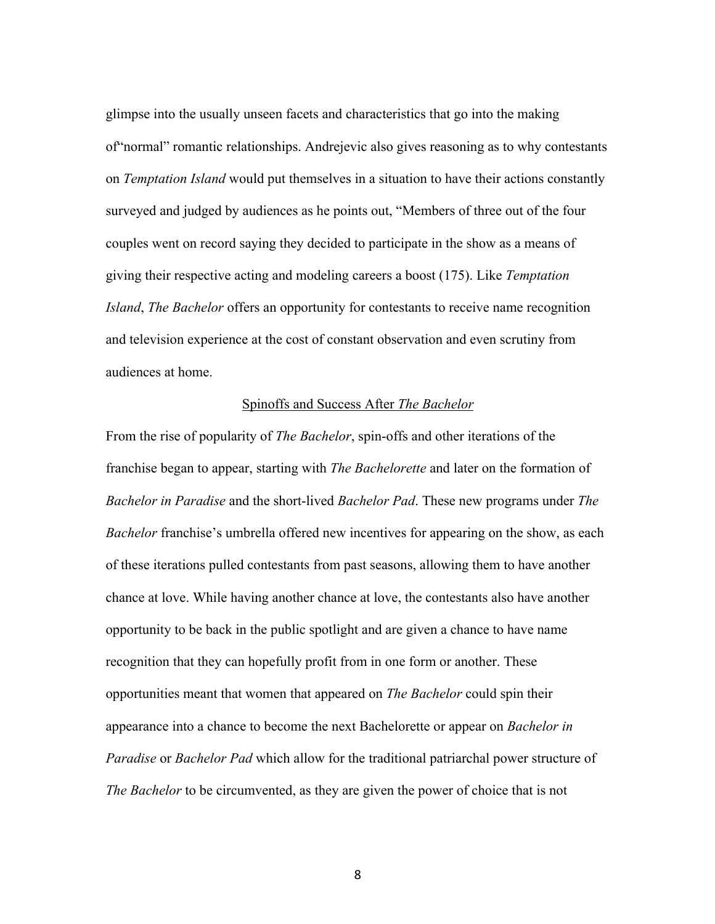glimpse into the usually unseen facets and characteristics that go into the making of"normal" romantic relationships. Andrejevic also gives reasoning as to why contestants on *Temptation Island* would put themselves in a situation to have their actions constantly surveyed and judged by audiences as he points out, "Members of three out of the four couples went on record saying they decided to participate in the show as a means of giving their respective acting and modeling careers a boost (175). Like *Temptation Island*, *The Bachelor* offers an opportunity for contestants to receive name recognition and television experience at the cost of constant observation and even scrutiny from audiences at home.

#### Spinoffs and Success After *The Bachelor*

From the rise of popularity of *The Bachelor*, spin-offs and other iterations of the franchise began to appear, starting with *The Bachelorette* and later on the formation of *Bachelor in Paradise* and the short-lived *Bachelor Pad*. These new programs under *The Bachelor* franchise's umbrella offered new incentives for appearing on the show, as each of these iterations pulled contestants from past seasons, allowing them to have another chance at love. While having another chance at love, the contestants also have another opportunity to be back in the public spotlight and are given a chance to have name recognition that they can hopefully profit from in one form or another. These opportunities meant that women that appeared on *The Bachelor* could spin their appearance into a chance to become the next Bachelorette or appear on *Bachelor in Paradise* or *Bachelor Pad* which allow for the traditional patriarchal power structure of *The Bachelor* to be circumvented, as they are given the power of choice that is not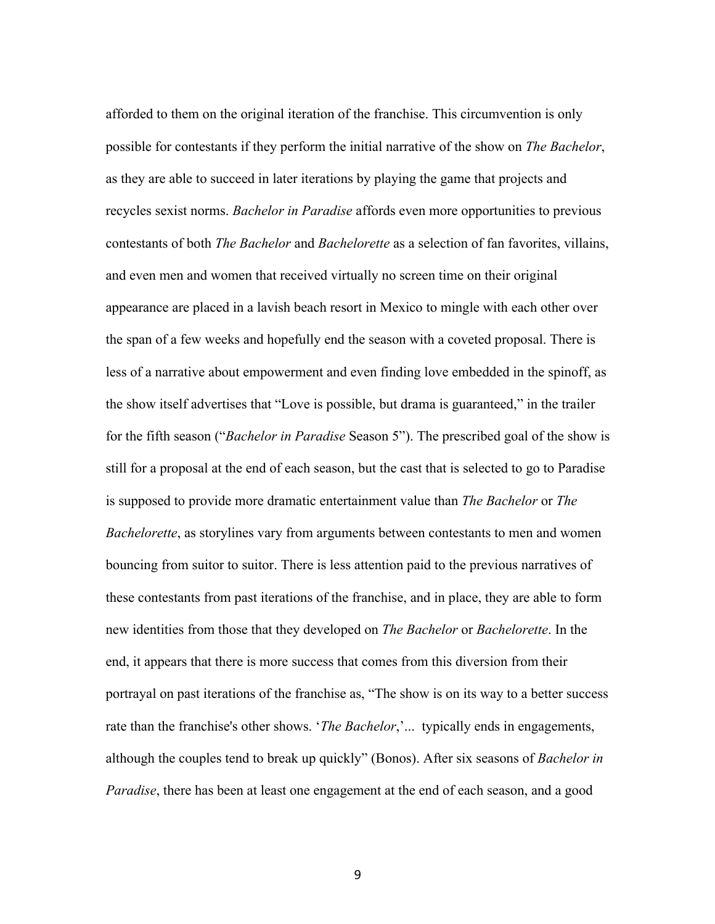afforded to them on the original iteration of the franchise. This circumvention is only possible for contestants if they perform the initial narrative of the show on *The Bachelor*, as they are able to succeed in later iterations by playing the game that projects and recycles sexist norms. *Bachelor in Paradise* affords even more opportunities to previous contestants of both *The Bachelor* and *Bachelorette* as a selection of fan favorites, villains, and even men and women that received virtually no screen time on their original appearance are placed in a lavish beach resort in Mexico to mingle with each other over the span of a few weeks and hopefully end the season with a coveted proposal. There is less of a narrative about empowerment and even finding love embedded in the spinoff, as the show itself advertises that "Love is possible, but drama is guaranteed," in the trailer for the fifth season ("*Bachelor in Paradise* Season 5"). The prescribed goal of the show is still for a proposal at the end of each season, but the cast that is selected to go to Paradise is supposed to provide more dramatic entertainment value than *The Bachelor* or *The Bachelorette*, as storylines vary from arguments between contestants to men and women bouncing from suitor to suitor. There is less attention paid to the previous narratives of these contestants from past iterations of the franchise, and in place, they are able to form new identities from those that they developed on *The Bachelor* or *Bachelorette*. In the end, it appears that there is more success that comes from this diversion from their portrayal on past iterations of the franchise as, "The show is on its way to a better success rate than the franchise's other shows. '*The Bachelor*,'... typically ends in engagements, although the couples tend to break up quickly" (Bonos). After six seasons of *Bachelor in Paradise*, there has been at least one engagement at the end of each season, and a good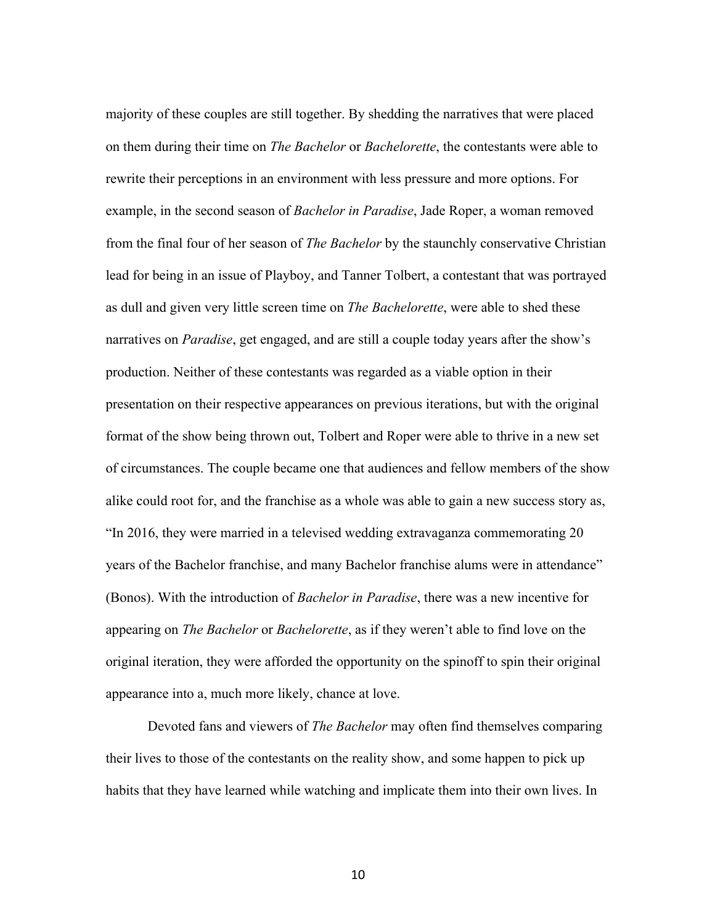majority of these couples are still together. By shedding the narratives that were placed on them during their time on *The Bachelor* or *Bachelorette*, the contestants were able to rewrite their perceptions in an environment with less pressure and more options. For example, in the second season of *Bachelor in Paradise*, Jade Roper, a woman removed from the final four of her season of *The Bachelor* by the staunchly conservative Christian lead for being in an issue of Playboy, and Tanner Tolbert, a contestant that was portrayed as dull and given very little screen time on *The Bachelorette*, were able to shed these narratives on *Paradise*, get engaged, and are still a couple today years after the show's production. Neither of these contestants was regarded as a viable option in their presentation on their respective appearances on previous iterations, but with the original format of the show being thrown out, Tolbert and Roper were able to thrive in a new set of circumstances. The couple became one that audiences and fellow members of the show alike could root for, and the franchise as a whole was able to gain a new success story as, "In 2016, they were married in a televised wedding extravaganza commemorating 20 years of the Bachelor franchise, and many Bachelor franchise alums were in attendance" (Bonos). With the introduction of *Bachelor in Paradise*, there was a new incentive for appearing on *The Bachelor* or *Bachelorette*, as if they weren't able to find love on the original iteration, they were afforded the opportunity on the spinoff to spin their original appearance into a, much more likely, chance at love.

Devoted fans and viewers of *The Bachelor* may often find themselves comparing their lives to those of the contestants on the reality show, and some happen to pick up habits that they have learned while watching and implicate them into their own lives. In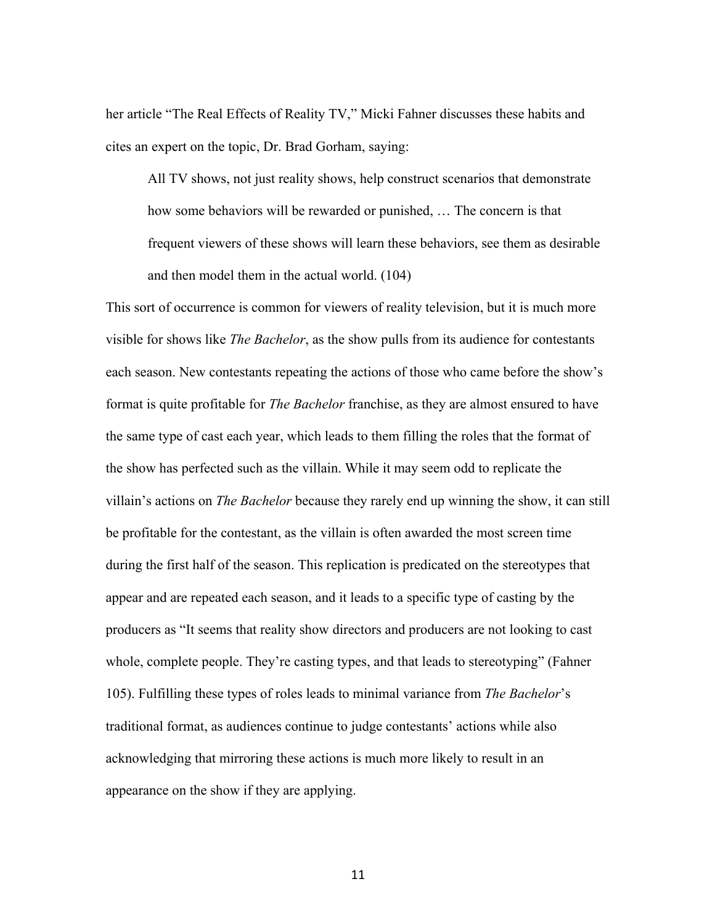her article "The Real Effects of Reality TV," Micki Fahner discusses these habits and cites an expert on the topic, Dr. Brad Gorham, saying:

All TV shows, not just reality shows, help construct scenarios that demonstrate how some behaviors will be rewarded or punished, … The concern is that frequent viewers of these shows will learn these behaviors, see them as desirable and then model them in the actual world. (104)

This sort of occurrence is common for viewers of reality television, but it is much more visible for shows like *The Bachelor*, as the show pulls from its audience for contestants each season. New contestants repeating the actions of those who came before the show's format is quite profitable for *The Bachelor* franchise, as they are almost ensured to have the same type of cast each year, which leads to them filling the roles that the format of the show has perfected such as the villain. While it may seem odd to replicate the villain's actions on *The Bachelor* because they rarely end up winning the show, it can still be profitable for the contestant, as the villain is often awarded the most screen time during the first half of the season. This replication is predicated on the stereotypes that appear and are repeated each season, and it leads to a specific type of casting by the producers as "It seems that reality show directors and producers are not looking to cast whole, complete people. They're casting types, and that leads to stereotyping" (Fahner 105). Fulfilling these types of roles leads to minimal variance from *The Bachelor*'s traditional format, as audiences continue to judge contestants' actions while also acknowledging that mirroring these actions is much more likely to result in an appearance on the show if they are applying.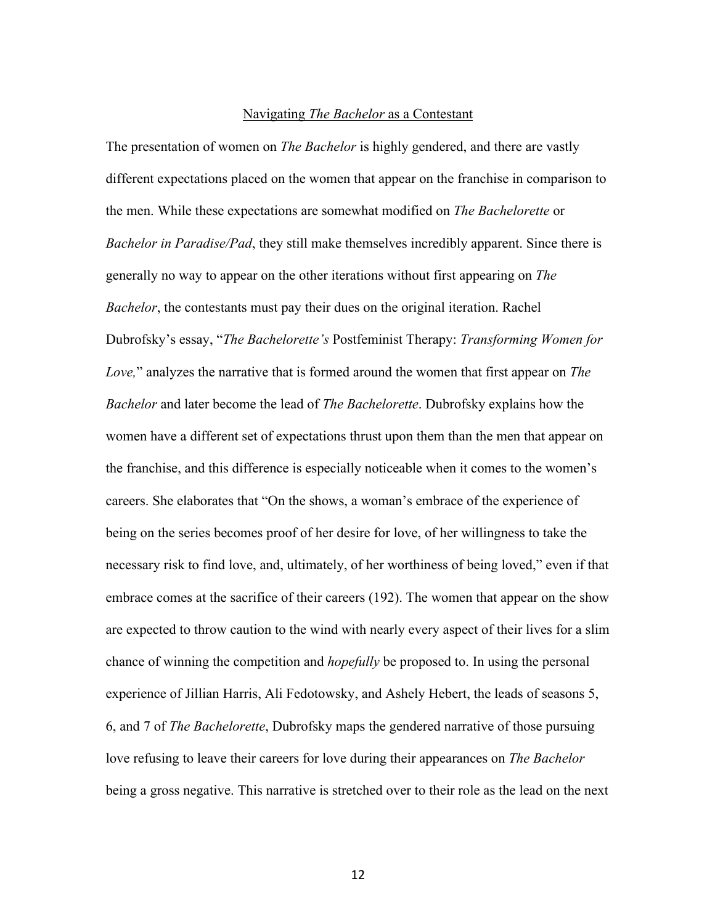#### Navigating *The Bachelor* as a Contestant

The presentation of women on *The Bachelor* is highly gendered, and there are vastly different expectations placed on the women that appear on the franchise in comparison to the men. While these expectations are somewhat modified on *The Bachelorette* or *Bachelor in Paradise/Pad*, they still make themselves incredibly apparent. Since there is generally no way to appear on the other iterations without first appearing on *The Bachelor*, the contestants must pay their dues on the original iteration. Rachel Dubrofsky's essay, "*The Bachelorette's* Postfeminist Therapy: *Transforming Women for Love,*" analyzes the narrative that is formed around the women that first appear on *The Bachelor* and later become the lead of *The Bachelorette*. Dubrofsky explains how the women have a different set of expectations thrust upon them than the men that appear on the franchise, and this difference is especially noticeable when it comes to the women's careers. She elaborates that "On the shows, a woman's embrace of the experience of being on the series becomes proof of her desire for love, of her willingness to take the necessary risk to find love, and, ultimately, of her worthiness of being loved," even if that embrace comes at the sacrifice of their careers (192). The women that appear on the show are expected to throw caution to the wind with nearly every aspect of their lives for a slim chance of winning the competition and *hopefully* be proposed to. In using the personal experience of Jillian Harris, Ali Fedotowsky, and Ashely Hebert, the leads of seasons 5, 6, and 7 of *The Bachelorette*, Dubrofsky maps the gendered narrative of those pursuing love refusing to leave their careers for love during their appearances on *The Bachelor* being a gross negative. This narrative is stretched over to their role as the lead on the next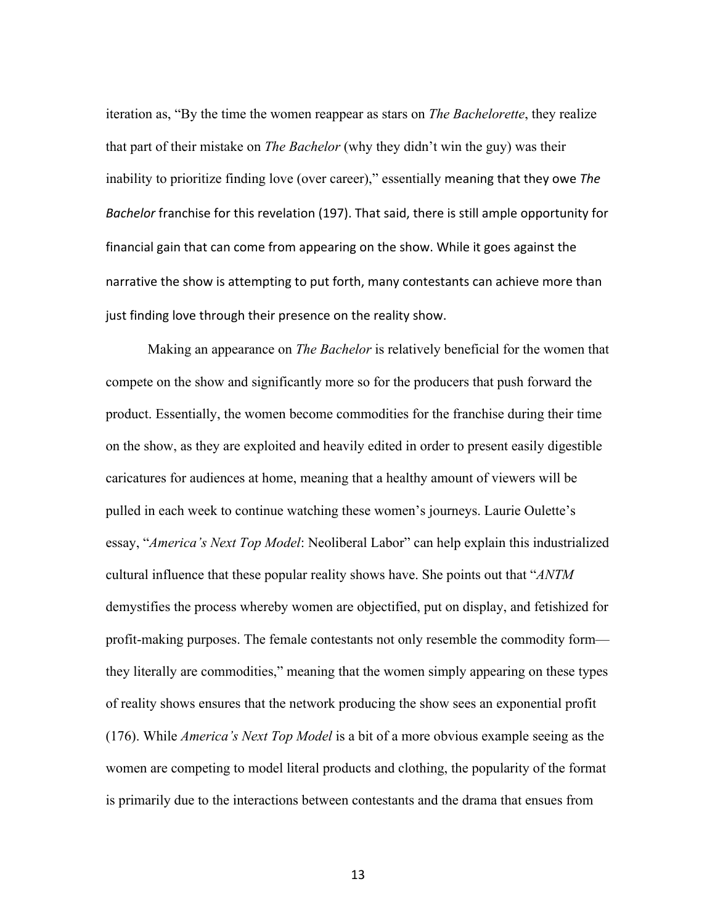iteration as, "By the time the women reappear as stars on *The Bachelorette*, they realize that part of their mistake on *The Bachelor* (why they didn't win the guy) was their inability to prioritize finding love (over career)," essentially meaning that they owe *The Bachelor* franchise for this revelation (197). That said, there is still ample opportunity for financial gain that can come from appearing on the show. While it goes against the narrative the show is attempting to put forth, many contestants can achieve more than just finding love through their presence on the reality show.

Making an appearance on *The Bachelor* is relatively beneficial for the women that compete on the show and significantly more so for the producers that push forward the product. Essentially, the women become commodities for the franchise during their time on the show, as they are exploited and heavily edited in order to present easily digestible caricatures for audiences at home, meaning that a healthy amount of viewers will be pulled in each week to continue watching these women's journeys. Laurie Oulette's essay, "*America's Next Top Model*: Neoliberal Labor" can help explain this industrialized cultural influence that these popular reality shows have. She points out that "*ANTM*  demystifies the process whereby women are objectified, put on display, and fetishized for profit-making purposes. The female contestants not only resemble the commodity form they literally are commodities," meaning that the women simply appearing on these types of reality shows ensures that the network producing the show sees an exponential profit (176). While *America's Next Top Model* is a bit of a more obvious example seeing as the women are competing to model literal products and clothing, the popularity of the format is primarily due to the interactions between contestants and the drama that ensues from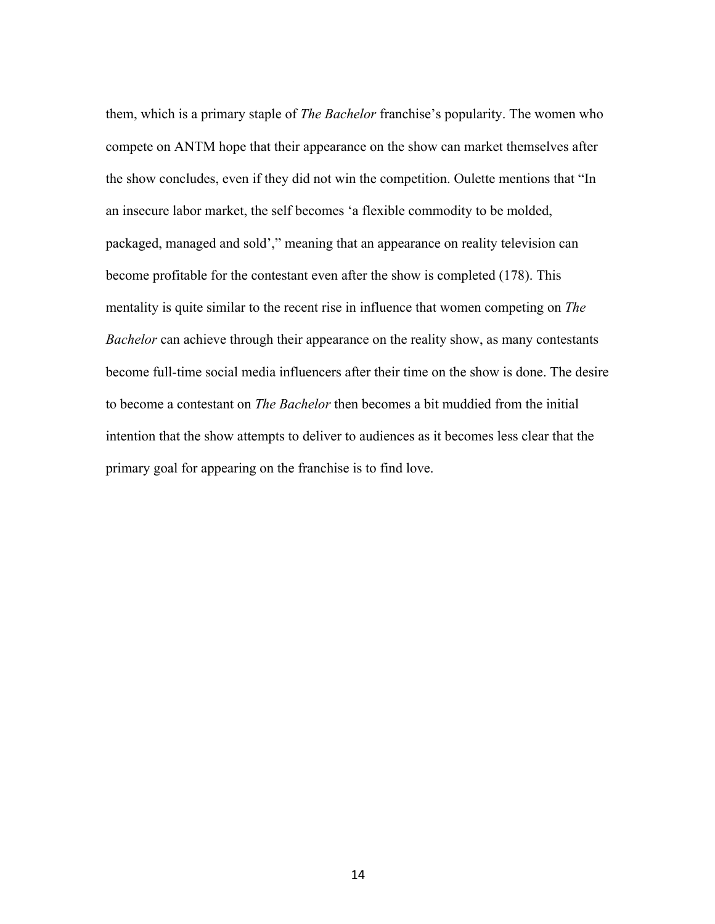them, which is a primary staple of *The Bachelor* franchise's popularity. The women who compete on ANTM hope that their appearance on the show can market themselves after the show concludes, even if they did not win the competition. Oulette mentions that "In an insecure labor market, the self becomes 'a flexible commodity to be molded, packaged, managed and sold'," meaning that an appearance on reality television can become profitable for the contestant even after the show is completed (178). This mentality is quite similar to the recent rise in influence that women competing on *The Bachelor* can achieve through their appearance on the reality show, as many contestants become full-time social media influencers after their time on the show is done. The desire to become a contestant on *The Bachelor* then becomes a bit muddied from the initial intention that the show attempts to deliver to audiences as it becomes less clear that the primary goal for appearing on the franchise is to find love.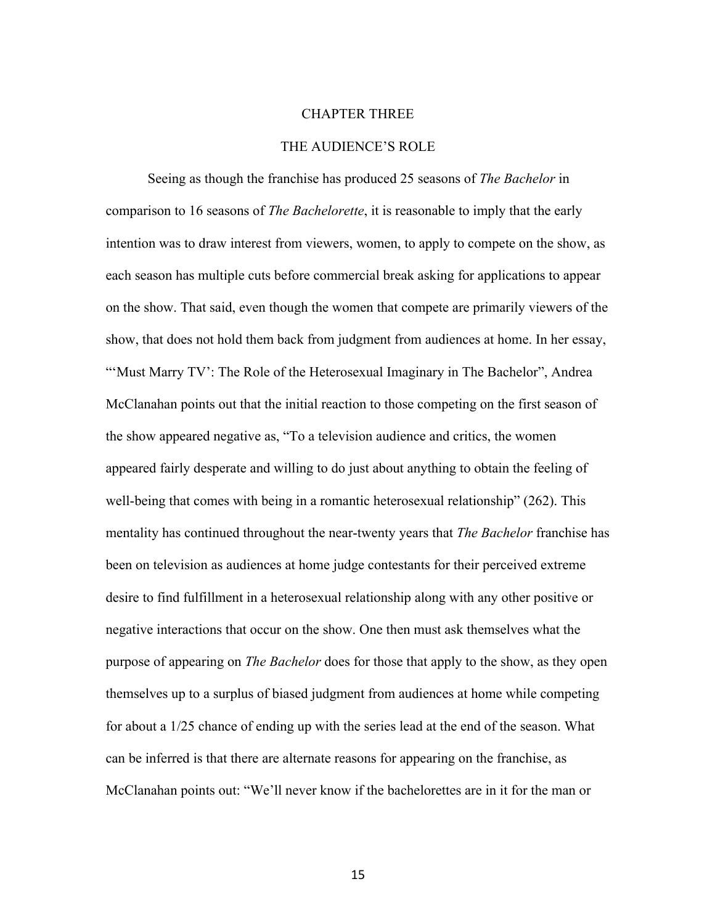#### CHAPTER THREE

#### THE AUDIENCE'S ROLE

Seeing as though the franchise has produced 25 seasons of *The Bachelor* in comparison to 16 seasons of *The Bachelorette*, it is reasonable to imply that the early intention was to draw interest from viewers, women, to apply to compete on the show, as each season has multiple cuts before commercial break asking for applications to appear on the show. That said, even though the women that compete are primarily viewers of the show, that does not hold them back from judgment from audiences at home. In her essay, "'Must Marry TV': The Role of the Heterosexual Imaginary in The Bachelor", Andrea McClanahan points out that the initial reaction to those competing on the first season of the show appeared negative as, "To a television audience and critics, the women appeared fairly desperate and willing to do just about anything to obtain the feeling of well-being that comes with being in a romantic heterosexual relationship" (262). This mentality has continued throughout the near-twenty years that *The Bachelor* franchise has been on television as audiences at home judge contestants for their perceived extreme desire to find fulfillment in a heterosexual relationship along with any other positive or negative interactions that occur on the show. One then must ask themselves what the purpose of appearing on *The Bachelor* does for those that apply to the show, as they open themselves up to a surplus of biased judgment from audiences at home while competing for about a 1/25 chance of ending up with the series lead at the end of the season. What can be inferred is that there are alternate reasons for appearing on the franchise, as McClanahan points out: "We'll never know if the bachelorettes are in it for the man or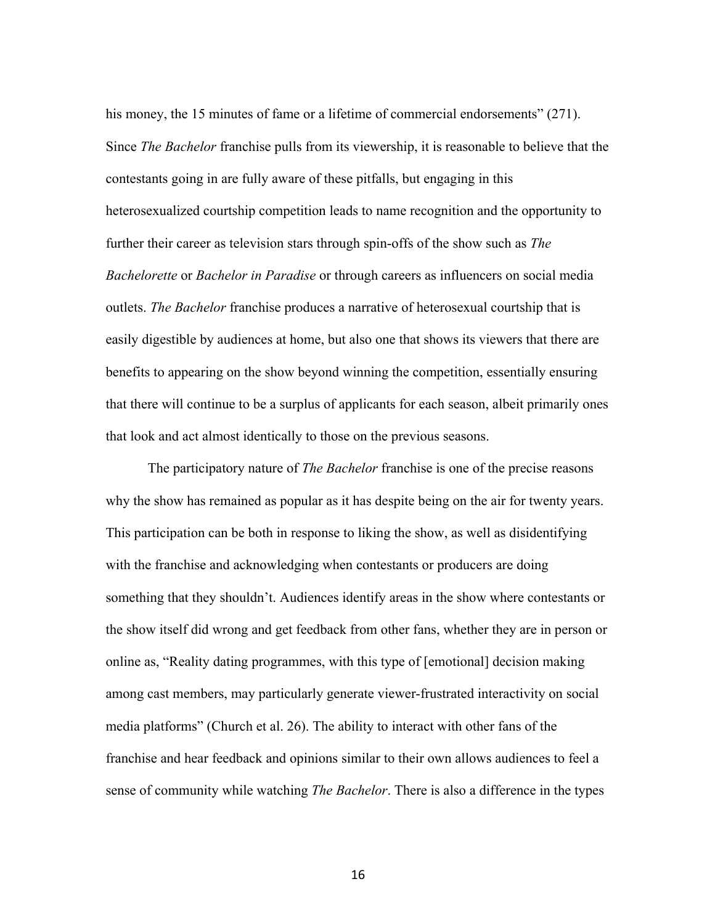his money, the 15 minutes of fame or a lifetime of commercial endorsements" (271). Since *The Bachelor* franchise pulls from its viewership, it is reasonable to believe that the contestants going in are fully aware of these pitfalls, but engaging in this heterosexualized courtship competition leads to name recognition and the opportunity to further their career as television stars through spin-offs of the show such as *The Bachelorette* or *Bachelor in Paradise* or through careers as influencers on social media outlets. *The Bachelor* franchise produces a narrative of heterosexual courtship that is easily digestible by audiences at home, but also one that shows its viewers that there are benefits to appearing on the show beyond winning the competition, essentially ensuring that there will continue to be a surplus of applicants for each season, albeit primarily ones that look and act almost identically to those on the previous seasons.

The participatory nature of *The Bachelor* franchise is one of the precise reasons why the show has remained as popular as it has despite being on the air for twenty years. This participation can be both in response to liking the show, as well as disidentifying with the franchise and acknowledging when contestants or producers are doing something that they shouldn't. Audiences identify areas in the show where contestants or the show itself did wrong and get feedback from other fans, whether they are in person or online as, "Reality dating programmes, with this type of [emotional] decision making among cast members, may particularly generate viewer-frustrated interactivity on social media platforms" (Church et al. 26). The ability to interact with other fans of the franchise and hear feedback and opinions similar to their own allows audiences to feel a sense of community while watching *The Bachelor*. There is also a difference in the types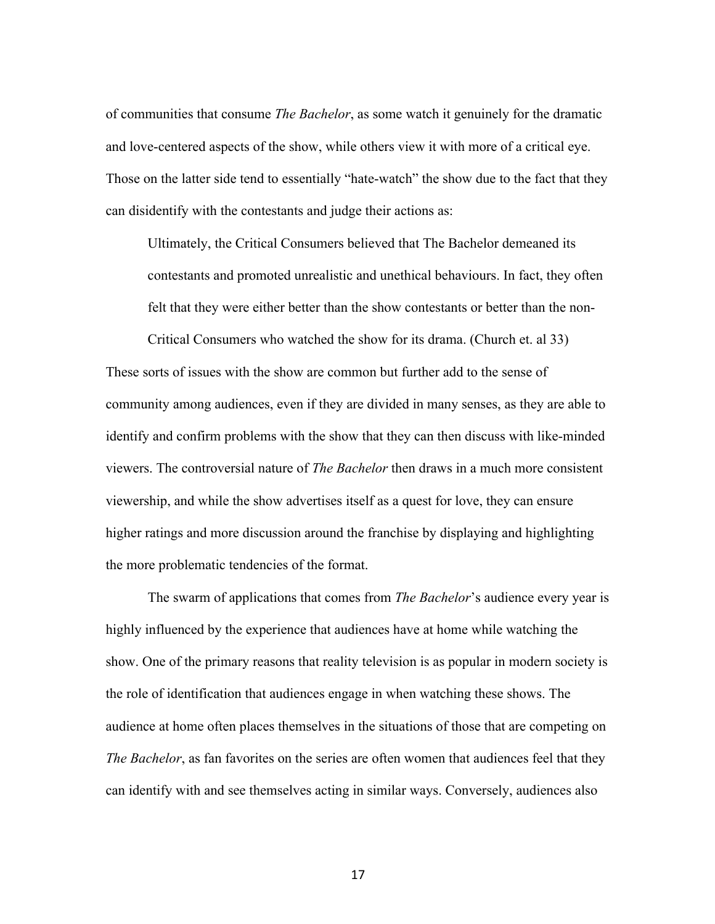of communities that consume *The Bachelor*, as some watch it genuinely for the dramatic and love-centered aspects of the show, while others view it with more of a critical eye. Those on the latter side tend to essentially "hate-watch" the show due to the fact that they can disidentify with the contestants and judge their actions as:

Ultimately, the Critical Consumers believed that The Bachelor demeaned its contestants and promoted unrealistic and unethical behaviours. In fact, they often felt that they were either better than the show contestants or better than the non-

Critical Consumers who watched the show for its drama. (Church et. al 33)

These sorts of issues with the show are common but further add to the sense of community among audiences, even if they are divided in many senses, as they are able to identify and confirm problems with the show that they can then discuss with like-minded viewers. The controversial nature of *The Bachelor* then draws in a much more consistent viewership, and while the show advertises itself as a quest for love, they can ensure higher ratings and more discussion around the franchise by displaying and highlighting the more problematic tendencies of the format.

The swarm of applications that comes from *The Bachelor*'s audience every year is highly influenced by the experience that audiences have at home while watching the show. One of the primary reasons that reality television is as popular in modern society is the role of identification that audiences engage in when watching these shows. The audience at home often places themselves in the situations of those that are competing on *The Bachelor*, as fan favorites on the series are often women that audiences feel that they can identify with and see themselves acting in similar ways. Conversely, audiences also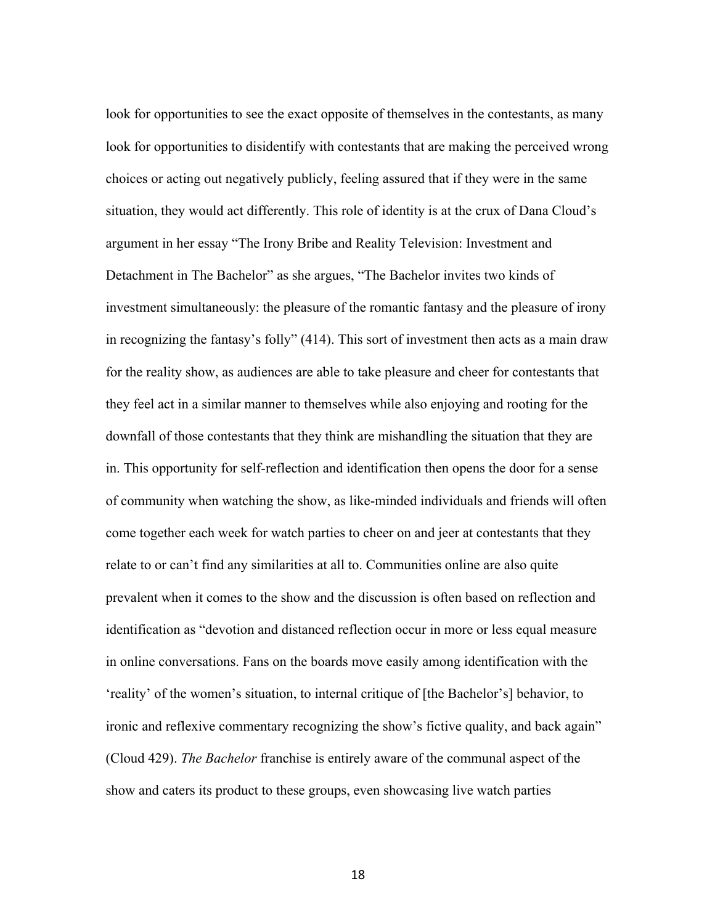look for opportunities to see the exact opposite of themselves in the contestants, as many look for opportunities to disidentify with contestants that are making the perceived wrong choices or acting out negatively publicly, feeling assured that if they were in the same situation, they would act differently. This role of identity is at the crux of Dana Cloud's argument in her essay "The Irony Bribe and Reality Television: Investment and Detachment in The Bachelor" as she argues, "The Bachelor invites two kinds of investment simultaneously: the pleasure of the romantic fantasy and the pleasure of irony in recognizing the fantasy's folly" (414). This sort of investment then acts as a main draw for the reality show, as audiences are able to take pleasure and cheer for contestants that they feel act in a similar manner to themselves while also enjoying and rooting for the downfall of those contestants that they think are mishandling the situation that they are in. This opportunity for self-reflection and identification then opens the door for a sense of community when watching the show, as like-minded individuals and friends will often come together each week for watch parties to cheer on and jeer at contestants that they relate to or can't find any similarities at all to. Communities online are also quite prevalent when it comes to the show and the discussion is often based on reflection and identification as "devotion and distanced reflection occur in more or less equal measure in online conversations. Fans on the boards move easily among identification with the 'reality' of the women's situation, to internal critique of [the Bachelor's] behavior, to ironic and reflexive commentary recognizing the show's fictive quality, and back again" (Cloud 429). *The Bachelor* franchise is entirely aware of the communal aspect of the show and caters its product to these groups, even showcasing live watch parties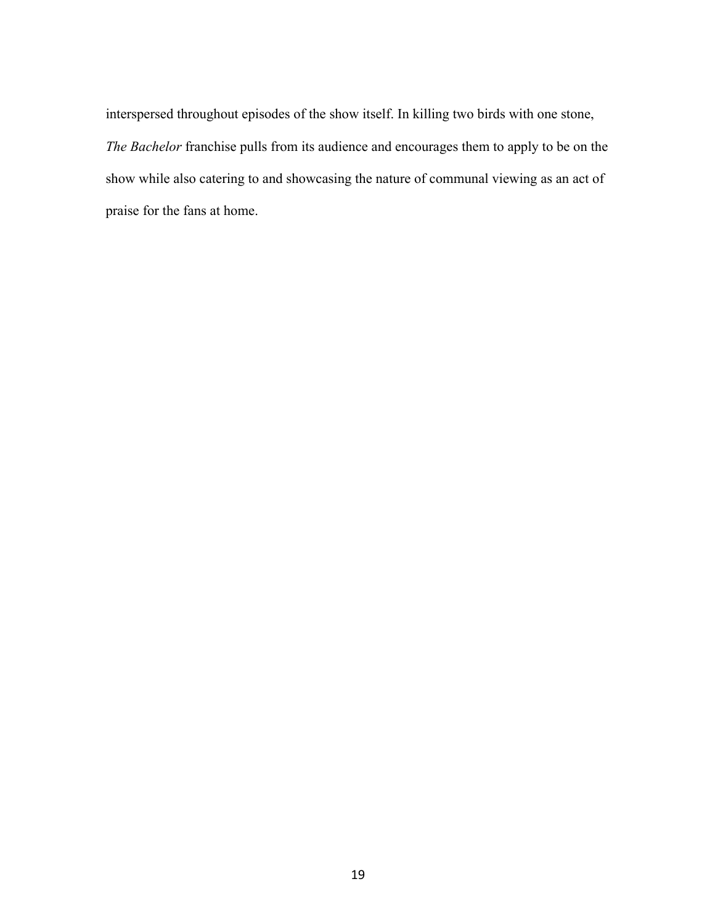interspersed throughout episodes of the show itself. In killing two birds with one stone, *The Bachelor* franchise pulls from its audience and encourages them to apply to be on the show while also catering to and showcasing the nature of communal viewing as an act of praise for the fans at home.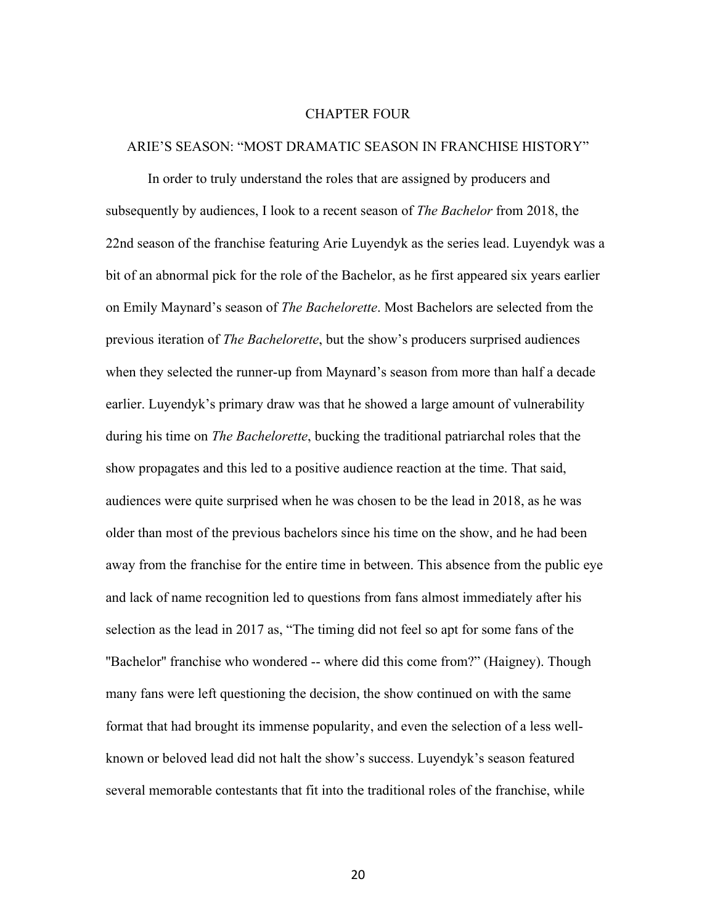#### CHAPTER FOUR

#### ARIE'S SEASON: "MOST DRAMATIC SEASON IN FRANCHISE HISTORY"

In order to truly understand the roles that are assigned by producers and subsequently by audiences, I look to a recent season of *The Bachelor* from 2018, the 22nd season of the franchise featuring Arie Luyendyk as the series lead. Luyendyk was a bit of an abnormal pick for the role of the Bachelor, as he first appeared six years earlier on Emily Maynard's season of *The Bachelorette*. Most Bachelors are selected from the previous iteration of *The Bachelorette*, but the show's producers surprised audiences when they selected the runner-up from Maynard's season from more than half a decade earlier. Luyendyk's primary draw was that he showed a large amount of vulnerability during his time on *The Bachelorette*, bucking the traditional patriarchal roles that the show propagates and this led to a positive audience reaction at the time. That said, audiences were quite surprised when he was chosen to be the lead in 2018, as he was older than most of the previous bachelors since his time on the show, and he had been away from the franchise for the entire time in between. This absence from the public eye and lack of name recognition led to questions from fans almost immediately after his selection as the lead in 2017 as, "The timing did not feel so apt for some fans of the "Bachelor" franchise who wondered -- where did this come from?" (Haigney). Though many fans were left questioning the decision, the show continued on with the same format that had brought its immense popularity, and even the selection of a less wellknown or beloved lead did not halt the show's success. Luyendyk's season featured several memorable contestants that fit into the traditional roles of the franchise, while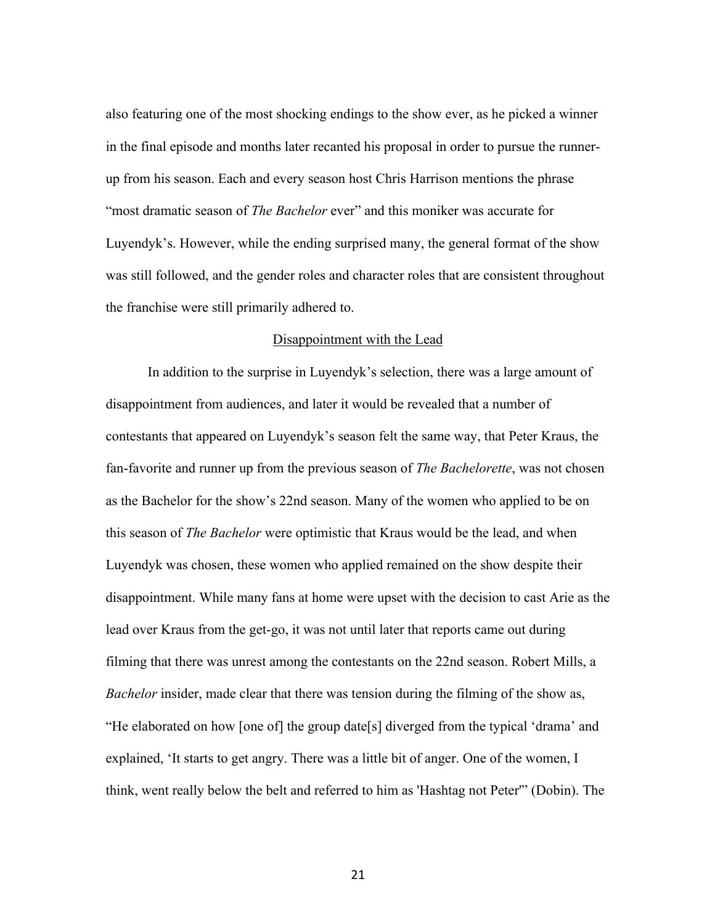also featuring one of the most shocking endings to the show ever, as he picked a winner in the final episode and months later recanted his proposal in order to pursue the runnerup from his season. Each and every season host Chris Harrison mentions the phrase "most dramatic season of *The Bachelor* ever" and this moniker was accurate for Luyendyk's. However, while the ending surprised many, the general format of the show was still followed, and the gender roles and character roles that are consistent throughout the franchise were still primarily adhered to.

#### Disappointment with the Lead

In addition to the surprise in Luyendyk's selection, there was a large amount of disappointment from audiences, and later it would be revealed that a number of contestants that appeared on Luyendyk's season felt the same way, that Peter Kraus, the fan-favorite and runner up from the previous season of *The Bachelorette*, was not chosen as the Bachelor for the show's 22nd season. Many of the women who applied to be on this season of *The Bachelor* were optimistic that Kraus would be the lead, and when Luyendyk was chosen, these women who applied remained on the show despite their disappointment. While many fans at home were upset with the decision to cast Arie as the lead over Kraus from the get-go, it was not until later that reports came out during filming that there was unrest among the contestants on the 22nd season. Robert Mills, a *Bachelor* insider, made clear that there was tension during the filming of the show as, "He elaborated on how [one of] the group date[s] diverged from the typical 'drama' and explained, 'It starts to get angry. There was a little bit of anger. One of the women, I think, went really below the belt and referred to him as 'Hashtag not Peter'" (Dobin). The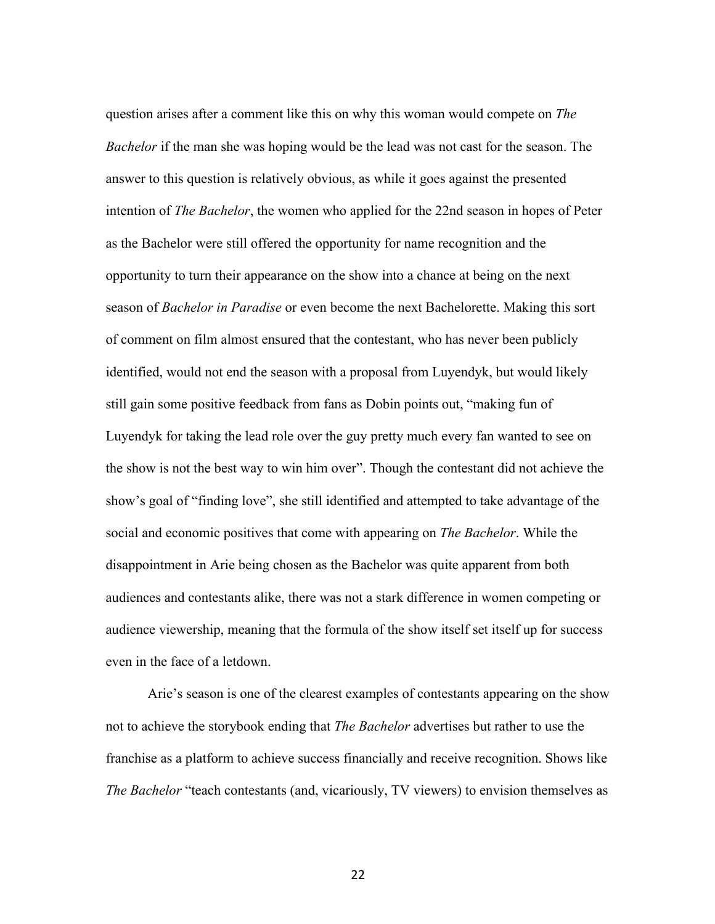question arises after a comment like this on why this woman would compete on *The Bachelor* if the man she was hoping would be the lead was not cast for the season. The answer to this question is relatively obvious, as while it goes against the presented intention of *The Bachelor*, the women who applied for the 22nd season in hopes of Peter as the Bachelor were still offered the opportunity for name recognition and the opportunity to turn their appearance on the show into a chance at being on the next season of *Bachelor in Paradise* or even become the next Bachelorette. Making this sort of comment on film almost ensured that the contestant, who has never been publicly identified, would not end the season with a proposal from Luyendyk, but would likely still gain some positive feedback from fans as Dobin points out, "making fun of Luyendyk for taking the lead role over the guy pretty much every fan wanted to see on the show is not the best way to win him over". Though the contestant did not achieve the show's goal of "finding love", she still identified and attempted to take advantage of the social and economic positives that come with appearing on *The Bachelor*. While the disappointment in Arie being chosen as the Bachelor was quite apparent from both audiences and contestants alike, there was not a stark difference in women competing or audience viewership, meaning that the formula of the show itself set itself up for success even in the face of a letdown.

Arie's season is one of the clearest examples of contestants appearing on the show not to achieve the storybook ending that *The Bachelor* advertises but rather to use the franchise as a platform to achieve success financially and receive recognition. Shows like *The Bachelor* "teach contestants (and, vicariously, TV viewers) to envision themselves as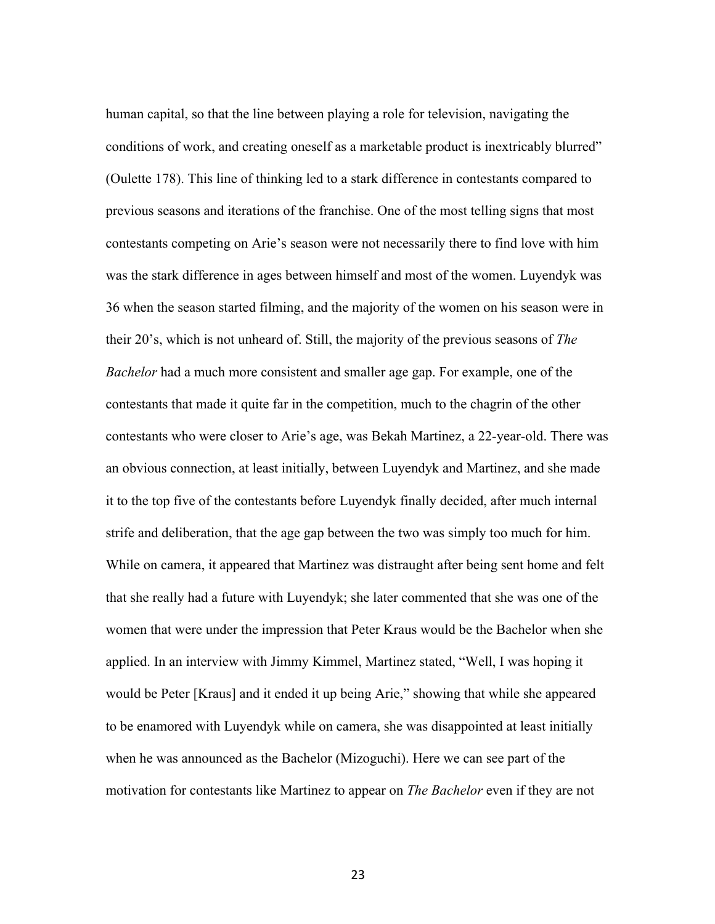human capital, so that the line between playing a role for television, navigating the conditions of work, and creating oneself as a marketable product is inextricably blurred" (Oulette 178). This line of thinking led to a stark difference in contestants compared to previous seasons and iterations of the franchise. One of the most telling signs that most contestants competing on Arie's season were not necessarily there to find love with him was the stark difference in ages between himself and most of the women. Luyendyk was 36 when the season started filming, and the majority of the women on his season were in their 20's, which is not unheard of. Still, the majority of the previous seasons of *The Bachelor* had a much more consistent and smaller age gap. For example, one of the contestants that made it quite far in the competition, much to the chagrin of the other contestants who were closer to Arie's age, was Bekah Martinez, a 22-year-old. There was an obvious connection, at least initially, between Luyendyk and Martinez, and she made it to the top five of the contestants before Luyendyk finally decided, after much internal strife and deliberation, that the age gap between the two was simply too much for him. While on camera, it appeared that Martinez was distraught after being sent home and felt that she really had a future with Luyendyk; she later commented that she was one of the women that were under the impression that Peter Kraus would be the Bachelor when she applied. In an interview with Jimmy Kimmel, Martinez stated, "Well, I was hoping it would be Peter [Kraus] and it ended it up being Arie," showing that while she appeared to be enamored with Luyendyk while on camera, she was disappointed at least initially when he was announced as the Bachelor (Mizoguchi). Here we can see part of the motivation for contestants like Martinez to appear on *The Bachelor* even if they are not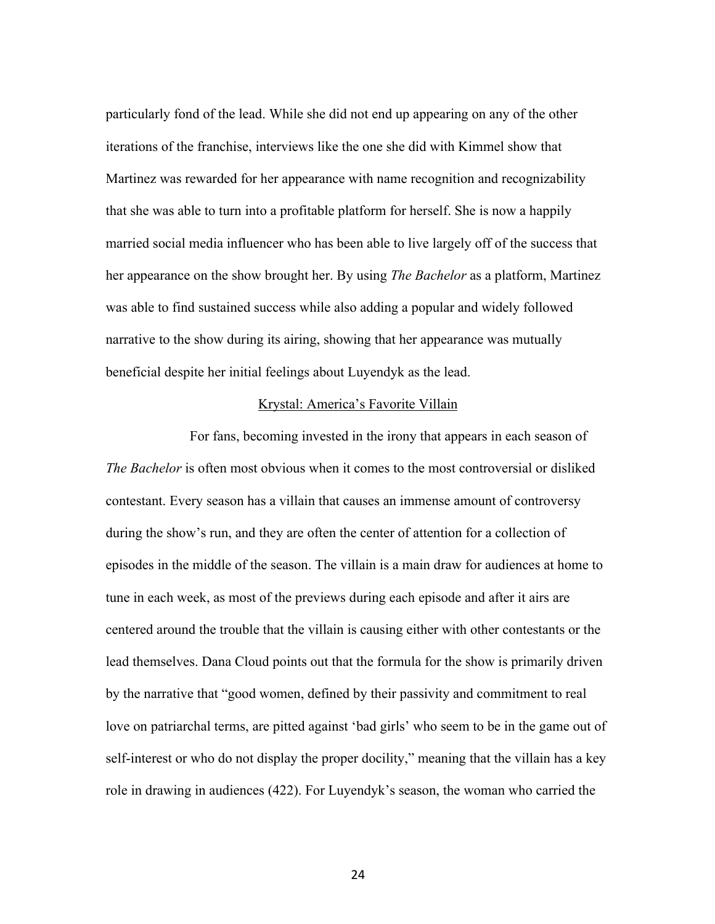particularly fond of the lead. While she did not end up appearing on any of the other iterations of the franchise, interviews like the one she did with Kimmel show that Martinez was rewarded for her appearance with name recognition and recognizability that she was able to turn into a profitable platform for herself. She is now a happily married social media influencer who has been able to live largely off of the success that her appearance on the show brought her. By using *The Bachelor* as a platform, Martinez was able to find sustained success while also adding a popular and widely followed narrative to the show during its airing, showing that her appearance was mutually beneficial despite her initial feelings about Luyendyk as the lead.

#### Krystal: America's Favorite Villain

For fans, becoming invested in the irony that appears in each season of *The Bachelor* is often most obvious when it comes to the most controversial or disliked contestant. Every season has a villain that causes an immense amount of controversy during the show's run, and they are often the center of attention for a collection of episodes in the middle of the season. The villain is a main draw for audiences at home to tune in each week, as most of the previews during each episode and after it airs are centered around the trouble that the villain is causing either with other contestants or the lead themselves. Dana Cloud points out that the formula for the show is primarily driven by the narrative that "good women, defined by their passivity and commitment to real love on patriarchal terms, are pitted against 'bad girls' who seem to be in the game out of self-interest or who do not display the proper docility," meaning that the villain has a key role in drawing in audiences (422). For Luyendyk's season, the woman who carried the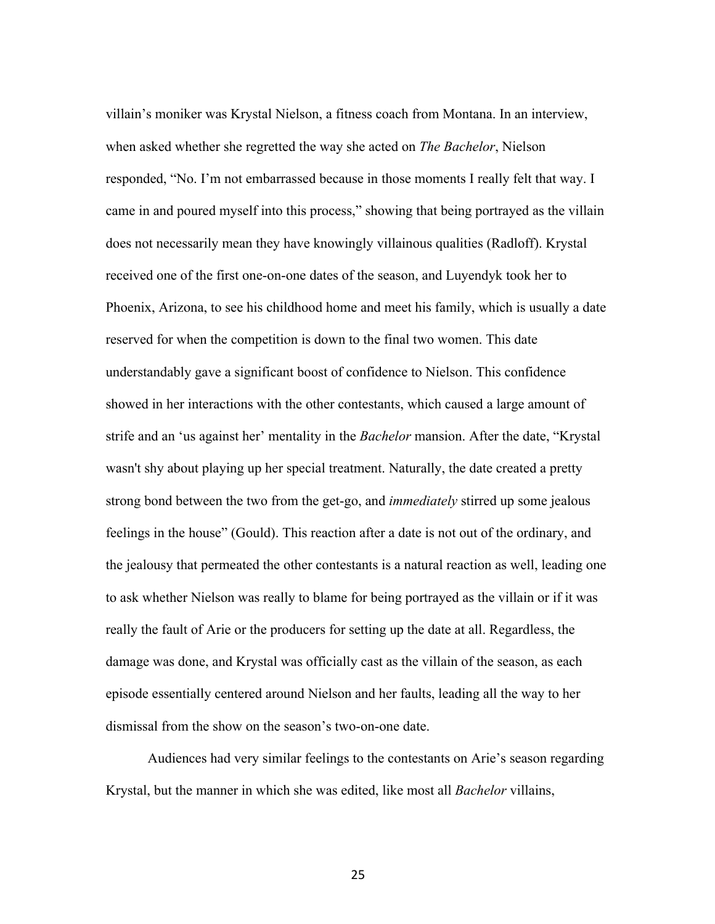villain's moniker was Krystal Nielson, a fitness coach from Montana. In an interview, when asked whether she regretted the way she acted on *The Bachelor*, Nielson responded, "No. I'm not embarrassed because in those moments I really felt that way. I came in and poured myself into this process," showing that being portrayed as the villain does not necessarily mean they have knowingly villainous qualities (Radloff). Krystal received one of the first one-on-one dates of the season, and Luyendyk took her to Phoenix, Arizona, to see his childhood home and meet his family, which is usually a date reserved for when the competition is down to the final two women. This date understandably gave a significant boost of confidence to Nielson. This confidence showed in her interactions with the other contestants, which caused a large amount of strife and an 'us against her' mentality in the *Bachelor* mansion. After the date, "Krystal wasn't shy about playing up her special treatment. Naturally, the date created a pretty strong bond between the two from the get-go, and *immediately* stirred up some jealous feelings in the house" (Gould). This reaction after a date is not out of the ordinary, and the jealousy that permeated the other contestants is a natural reaction as well, leading one to ask whether Nielson was really to blame for being portrayed as the villain or if it was really the fault of Arie or the producers for setting up the date at all. Regardless, the damage was done, and Krystal was officially cast as the villain of the season, as each episode essentially centered around Nielson and her faults, leading all the way to her dismissal from the show on the season's two-on-one date.

Audiences had very similar feelings to the contestants on Arie's season regarding Krystal, but the manner in which she was edited, like most all *Bachelor* villains,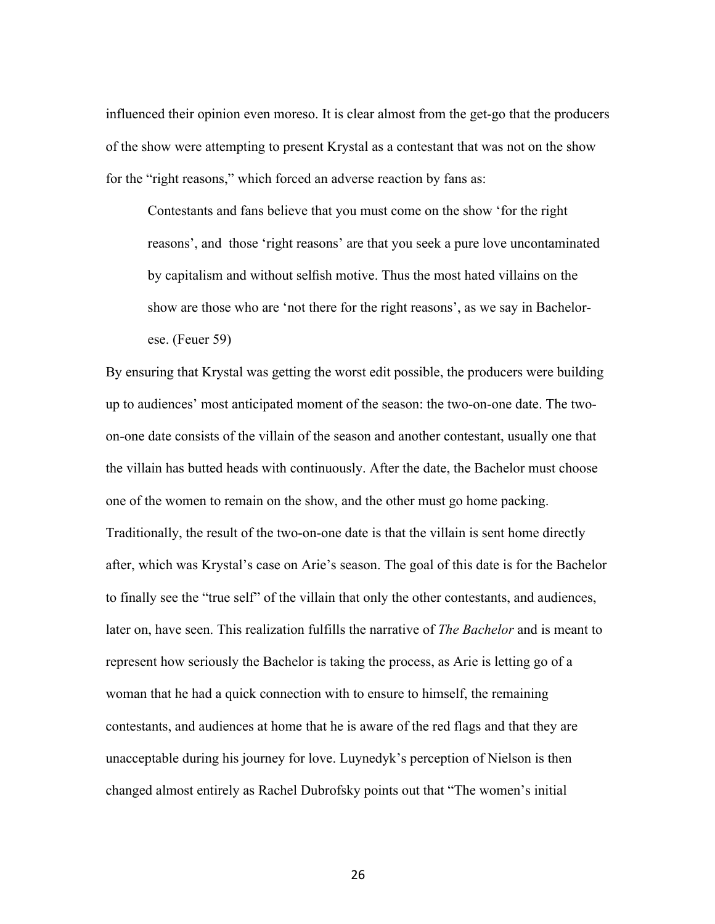influenced their opinion even moreso. It is clear almost from the get-go that the producers of the show were attempting to present Krystal as a contestant that was not on the show for the "right reasons," which forced an adverse reaction by fans as:

Contestants and fans believe that you must come on the show 'for the right reasons', and those 'right reasons' are that you seek a pure love uncontaminated by capitalism and without selfish motive. Thus the most hated villains on the show are those who are 'not there for the right reasons', as we say in Bachelorese. (Feuer 59)

By ensuring that Krystal was getting the worst edit possible, the producers were building up to audiences' most anticipated moment of the season: the two-on-one date. The twoon-one date consists of the villain of the season and another contestant, usually one that the villain has butted heads with continuously. After the date, the Bachelor must choose one of the women to remain on the show, and the other must go home packing. Traditionally, the result of the two-on-one date is that the villain is sent home directly after, which was Krystal's case on Arie's season. The goal of this date is for the Bachelor to finally see the "true self" of the villain that only the other contestants, and audiences, later on, have seen. This realization fulfills the narrative of *The Bachelor* and is meant to represent how seriously the Bachelor is taking the process, as Arie is letting go of a woman that he had a quick connection with to ensure to himself, the remaining contestants, and audiences at home that he is aware of the red flags and that they are unacceptable during his journey for love. Luynedyk's perception of Nielson is then changed almost entirely as Rachel Dubrofsky points out that "The women's initial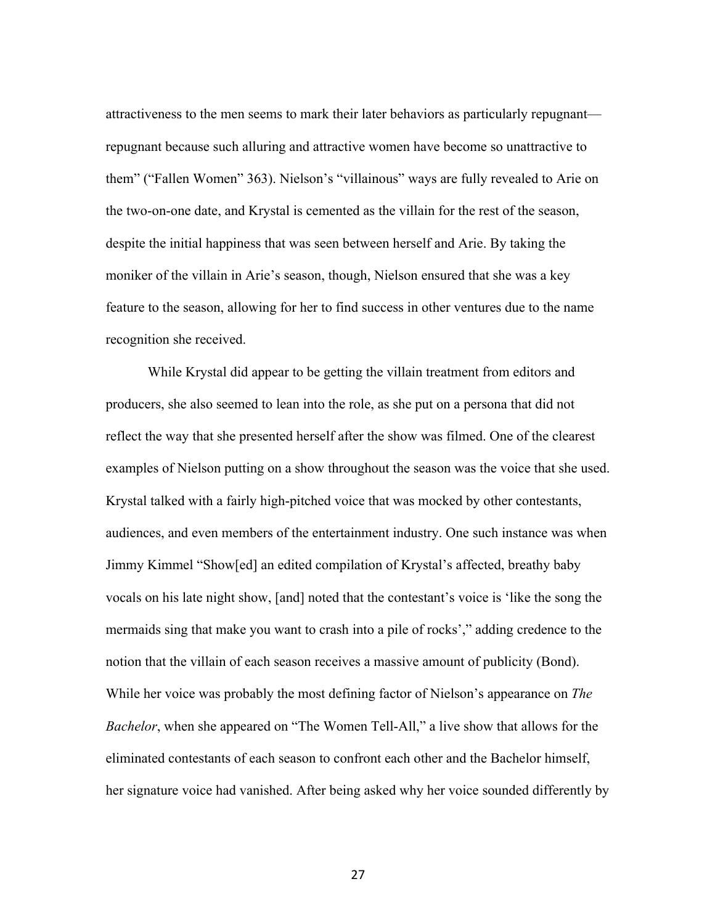attractiveness to the men seems to mark their later behaviors as particularly repugnant repugnant because such alluring and attractive women have become so unattractive to them" ("Fallen Women" 363). Nielson's "villainous" ways are fully revealed to Arie on the two-on-one date, and Krystal is cemented as the villain for the rest of the season, despite the initial happiness that was seen between herself and Arie. By taking the moniker of the villain in Arie's season, though, Nielson ensured that she was a key feature to the season, allowing for her to find success in other ventures due to the name recognition she received.

While Krystal did appear to be getting the villain treatment from editors and producers, she also seemed to lean into the role, as she put on a persona that did not reflect the way that she presented herself after the show was filmed. One of the clearest examples of Nielson putting on a show throughout the season was the voice that she used. Krystal talked with a fairly high-pitched voice that was mocked by other contestants, audiences, and even members of the entertainment industry. One such instance was when Jimmy Kimmel "Show[ed] an edited compilation of Krystal's affected, breathy baby vocals on his late night show, [and] noted that the contestant's voice is 'like the song the mermaids sing that make you want to crash into a pile of rocks'," adding credence to the notion that the villain of each season receives a massive amount of publicity (Bond). While her voice was probably the most defining factor of Nielson's appearance on *The Bachelor*, when she appeared on "The Women Tell-All," a live show that allows for the eliminated contestants of each season to confront each other and the Bachelor himself, her signature voice had vanished. After being asked why her voice sounded differently by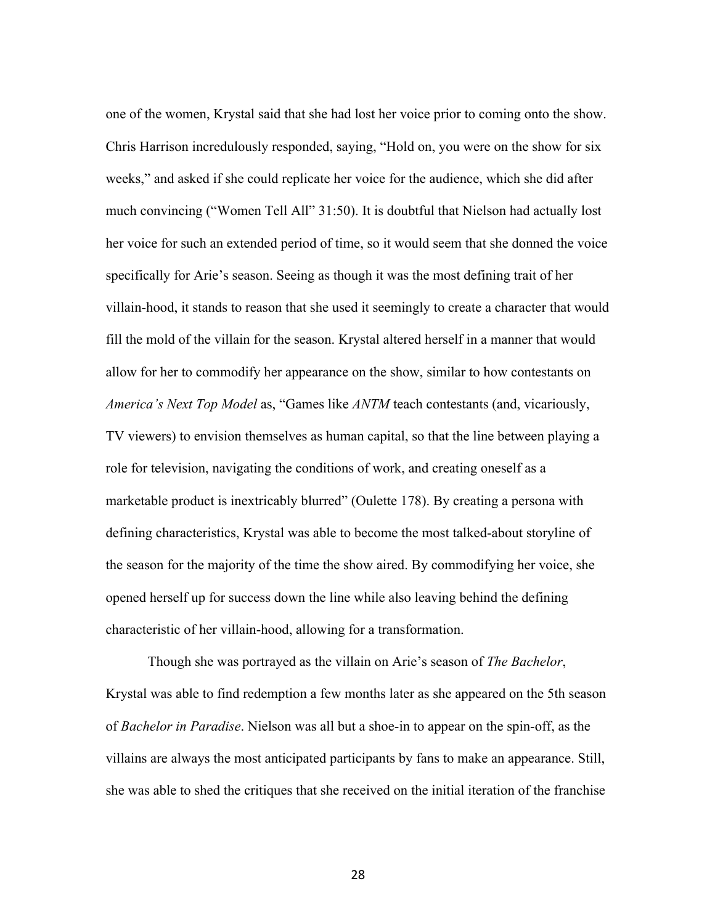one of the women, Krystal said that she had lost her voice prior to coming onto the show. Chris Harrison incredulously responded, saying, "Hold on, you were on the show for six weeks," and asked if she could replicate her voice for the audience, which she did after much convincing ("Women Tell All" 31:50). It is doubtful that Nielson had actually lost her voice for such an extended period of time, so it would seem that she donned the voice specifically for Arie's season. Seeing as though it was the most defining trait of her villain-hood, it stands to reason that she used it seemingly to create a character that would fill the mold of the villain for the season. Krystal altered herself in a manner that would allow for her to commodify her appearance on the show, similar to how contestants on *America's Next Top Model* as, "Games like *ANTM* teach contestants (and, vicariously, TV viewers) to envision themselves as human capital, so that the line between playing a role for television, navigating the conditions of work, and creating oneself as a marketable product is inextricably blurred" (Oulette 178). By creating a persona with defining characteristics, Krystal was able to become the most talked-about storyline of the season for the majority of the time the show aired. By commodifying her voice, she opened herself up for success down the line while also leaving behind the defining characteristic of her villain-hood, allowing for a transformation.

 Though she was portrayed as the villain on Arie's season of *The Bachelor*, Krystal was able to find redemption a few months later as she appeared on the 5th season of *Bachelor in Paradise*. Nielson was all but a shoe-in to appear on the spin-off, as the villains are always the most anticipated participants by fans to make an appearance. Still, she was able to shed the critiques that she received on the initial iteration of the franchise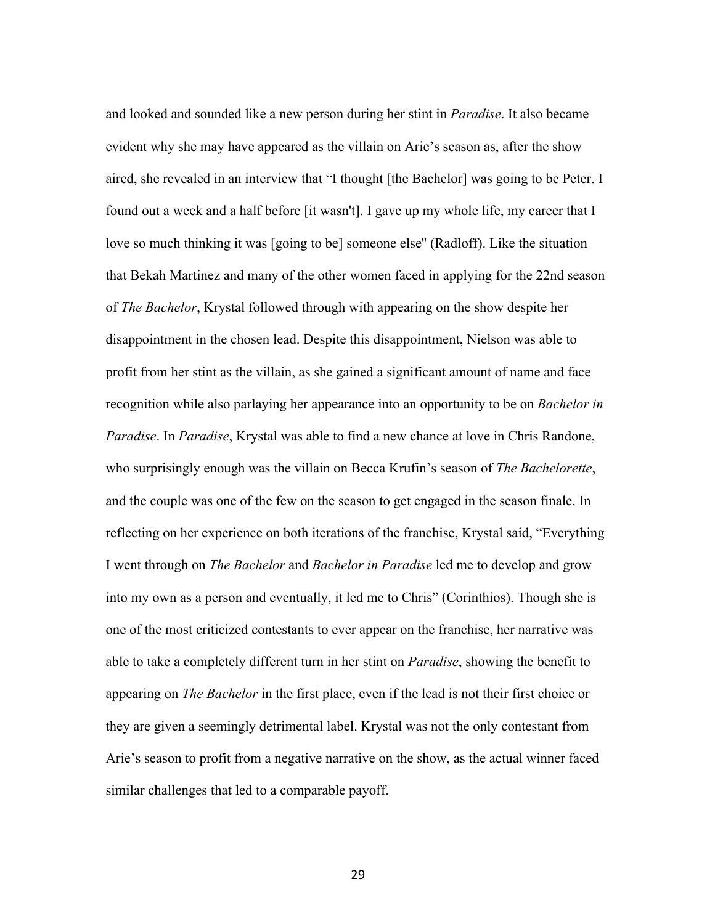and looked and sounded like a new person during her stint in *Paradise*. It also became evident why she may have appeared as the villain on Arie's season as, after the show aired, she revealed in an interview that "I thought [the Bachelor] was going to be Peter. I found out a week and a half before [it wasn't]. I gave up my whole life, my career that I love so much thinking it was [going to be] someone else'' (Radloff). Like the situation that Bekah Martinez and many of the other women faced in applying for the 22nd season of *The Bachelor*, Krystal followed through with appearing on the show despite her disappointment in the chosen lead. Despite this disappointment, Nielson was able to profit from her stint as the villain, as she gained a significant amount of name and face recognition while also parlaying her appearance into an opportunity to be on *Bachelor in Paradise*. In *Paradise*, Krystal was able to find a new chance at love in Chris Randone, who surprisingly enough was the villain on Becca Krufin's season of *The Bachelorette*, and the couple was one of the few on the season to get engaged in the season finale. In reflecting on her experience on both iterations of the franchise, Krystal said, "Everything I went through on *The Bachelor* and *Bachelor in Paradise* led me to develop and grow into my own as a person and eventually, it led me to Chris" (Corinthios). Though she is one of the most criticized contestants to ever appear on the franchise, her narrative was able to take a completely different turn in her stint on *Paradise*, showing the benefit to appearing on *The Bachelor* in the first place, even if the lead is not their first choice or they are given a seemingly detrimental label. Krystal was not the only contestant from Arie's season to profit from a negative narrative on the show, as the actual winner faced similar challenges that led to a comparable payoff.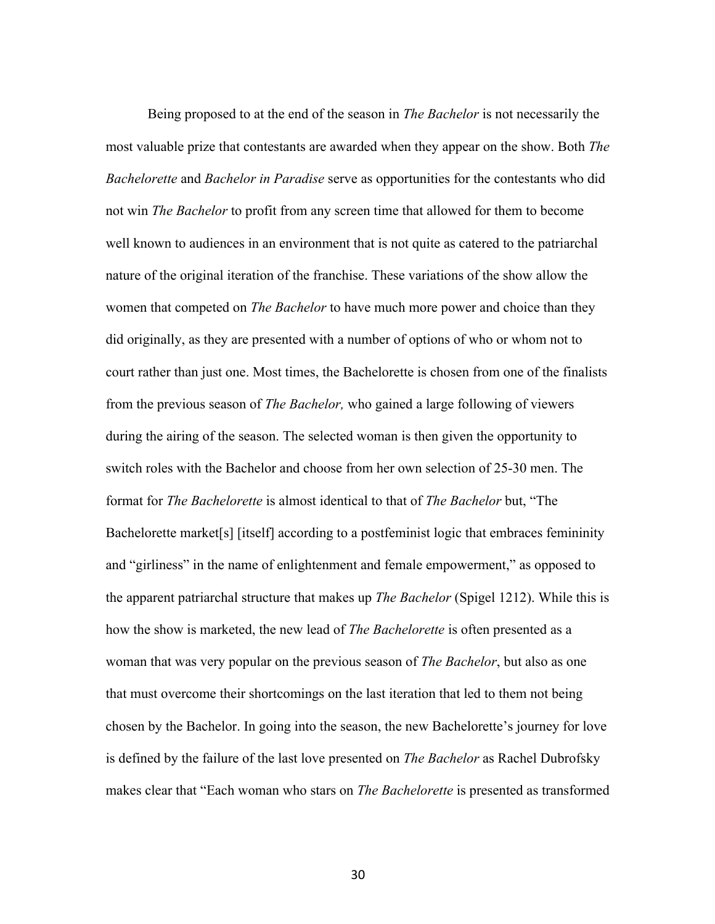Being proposed to at the end of the season in *The Bachelor* is not necessarily the most valuable prize that contestants are awarded when they appear on the show. Both *The Bachelorette* and *Bachelor in Paradise* serve as opportunities for the contestants who did not win *The Bachelor* to profit from any screen time that allowed for them to become well known to audiences in an environment that is not quite as catered to the patriarchal nature of the original iteration of the franchise. These variations of the show allow the women that competed on *The Bachelor* to have much more power and choice than they did originally, as they are presented with a number of options of who or whom not to court rather than just one. Most times, the Bachelorette is chosen from one of the finalists from the previous season of *The Bachelor,* who gained a large following of viewers during the airing of the season. The selected woman is then given the opportunity to switch roles with the Bachelor and choose from her own selection of 25-30 men. The format for *The Bachelorette* is almost identical to that of *The Bachelor* but, "The Bachelorette market[s] [itself] according to a postfeminist logic that embraces femininity and "girliness" in the name of enlightenment and female empowerment," as opposed to the apparent patriarchal structure that makes up *The Bachelor* (Spigel 1212). While this is how the show is marketed, the new lead of *The Bachelorette* is often presented as a woman that was very popular on the previous season of *The Bachelor*, but also as one that must overcome their shortcomings on the last iteration that led to them not being chosen by the Bachelor. In going into the season, the new Bachelorette's journey for love is defined by the failure of the last love presented on *The Bachelor* as Rachel Dubrofsky makes clear that "Each woman who stars on *The Bachelorette* is presented as transformed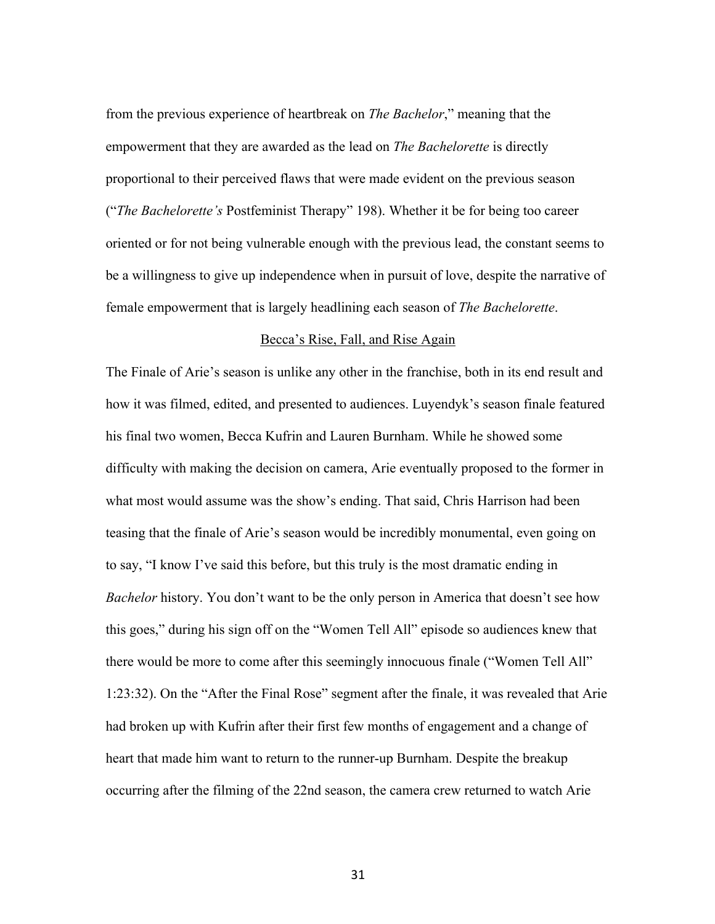from the previous experience of heartbreak on *The Bachelor*," meaning that the empowerment that they are awarded as the lead on *The Bachelorette* is directly proportional to their perceived flaws that were made evident on the previous season ("*The Bachelorette's* Postfeminist Therapy" 198). Whether it be for being too career oriented or for not being vulnerable enough with the previous lead, the constant seems to be a willingness to give up independence when in pursuit of love, despite the narrative of female empowerment that is largely headlining each season of *The Bachelorette*.

#### Becca's Rise, Fall, and Rise Again

The Finale of Arie's season is unlike any other in the franchise, both in its end result and how it was filmed, edited, and presented to audiences. Luyendyk's season finale featured his final two women, Becca Kufrin and Lauren Burnham. While he showed some difficulty with making the decision on camera, Arie eventually proposed to the former in what most would assume was the show's ending. That said, Chris Harrison had been teasing that the finale of Arie's season would be incredibly monumental, even going on to say, "I know I've said this before, but this truly is the most dramatic ending in *Bachelor* history. You don't want to be the only person in America that doesn't see how this goes," during his sign off on the "Women Tell All" episode so audiences knew that there would be more to come after this seemingly innocuous finale ("Women Tell All" 1:23:32). On the "After the Final Rose" segment after the finale, it was revealed that Arie had broken up with Kufrin after their first few months of engagement and a change of heart that made him want to return to the runner-up Burnham. Despite the breakup occurring after the filming of the 22nd season, the camera crew returned to watch Arie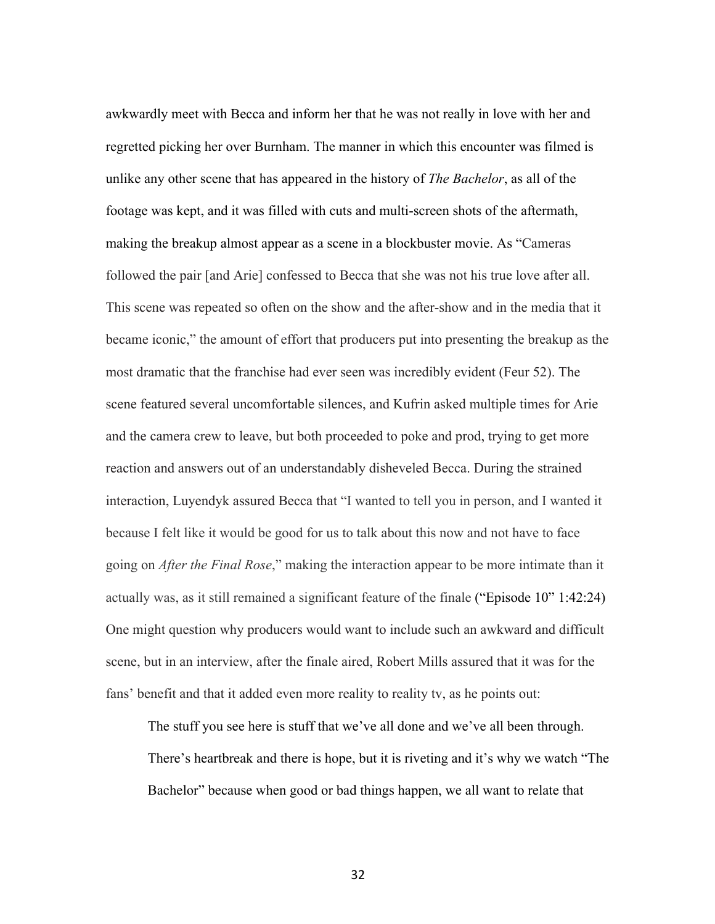awkwardly meet with Becca and inform her that he was not really in love with her and regretted picking her over Burnham. The manner in which this encounter was filmed is unlike any other scene that has appeared in the history of *The Bachelor*, as all of the footage was kept, and it was filled with cuts and multi-screen shots of the aftermath, making the breakup almost appear as a scene in a blockbuster movie. As "Cameras followed the pair [and Arie] confessed to Becca that she was not his true love after all. This scene was repeated so often on the show and the after-show and in the media that it became iconic," the amount of effort that producers put into presenting the breakup as the most dramatic that the franchise had ever seen was incredibly evident (Feur 52). The scene featured several uncomfortable silences, and Kufrin asked multiple times for Arie and the camera crew to leave, but both proceeded to poke and prod, trying to get more reaction and answers out of an understandably disheveled Becca. During the strained interaction, Luyendyk assured Becca that "I wanted to tell you in person, and I wanted it because I felt like it would be good for us to talk about this now and not have to face going on *After the Final Rose*," making the interaction appear to be more intimate than it actually was, as it still remained a significant feature of the finale ("Episode 10" 1:42:24) One might question why producers would want to include such an awkward and difficult scene, but in an interview, after the finale aired, Robert Mills assured that it was for the fans' benefit and that it added even more reality to reality tv, as he points out:

The stuff you see here is stuff that we've all done and we've all been through.

There's heartbreak and there is hope, but it is riveting and it's why we watch "The Bachelor" because when good or bad things happen, we all want to relate that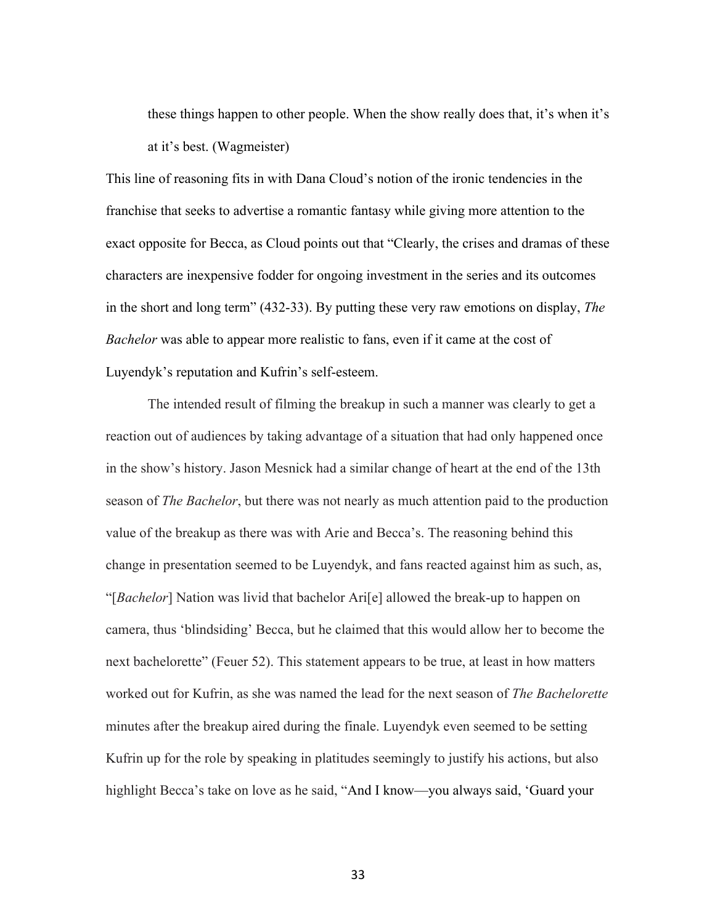these things happen to other people. When the show really does that, it's when it's at it's best. (Wagmeister)

This line of reasoning fits in with Dana Cloud's notion of the ironic tendencies in the franchise that seeks to advertise a romantic fantasy while giving more attention to the exact opposite for Becca, as Cloud points out that "Clearly, the crises and dramas of these characters are inexpensive fodder for ongoing investment in the series and its outcomes in the short and long term" (432-33). By putting these very raw emotions on display, *The Bachelor* was able to appear more realistic to fans, even if it came at the cost of Luyendyk's reputation and Kufrin's self-esteem.

The intended result of filming the breakup in such a manner was clearly to get a reaction out of audiences by taking advantage of a situation that had only happened once in the show's history. Jason Mesnick had a similar change of heart at the end of the 13th season of *The Bachelor*, but there was not nearly as much attention paid to the production value of the breakup as there was with Arie and Becca's. The reasoning behind this change in presentation seemed to be Luyendyk, and fans reacted against him as such, as, "[*Bachelor*] Nation was livid that bachelor Ari[e] allowed the break-up to happen on camera, thus 'blindsiding' Becca, but he claimed that this would allow her to become the next bachelorette" (Feuer 52). This statement appears to be true, at least in how matters worked out for Kufrin, as she was named the lead for the next season of *The Bachelorette* minutes after the breakup aired during the finale. Luyendyk even seemed to be setting Kufrin up for the role by speaking in platitudes seemingly to justify his actions, but also highlight Becca's take on love as he said, "And I know—you always said, 'Guard your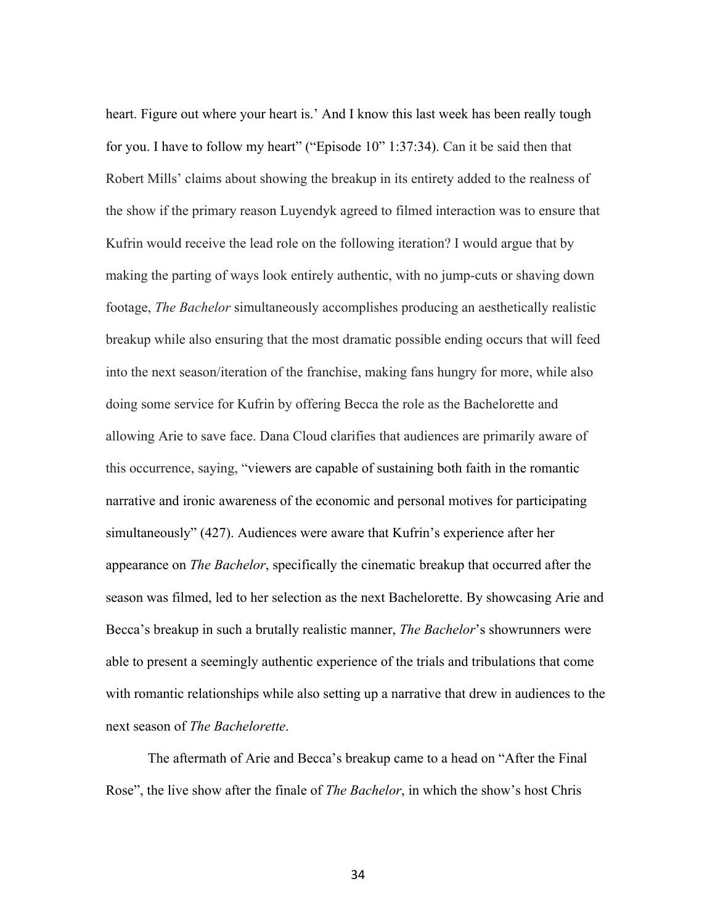heart. Figure out where your heart is.' And I know this last week has been really tough for you. I have to follow my heart" ("Episode 10" 1:37:34). Can it be said then that Robert Mills' claims about showing the breakup in its entirety added to the realness of the show if the primary reason Luyendyk agreed to filmed interaction was to ensure that Kufrin would receive the lead role on the following iteration? I would argue that by making the parting of ways look entirely authentic, with no jump-cuts or shaving down footage, *The Bachelor* simultaneously accomplishes producing an aesthetically realistic breakup while also ensuring that the most dramatic possible ending occurs that will feed into the next season/iteration of the franchise, making fans hungry for more, while also doing some service for Kufrin by offering Becca the role as the Bachelorette and allowing Arie to save face. Dana Cloud clarifies that audiences are primarily aware of this occurrence, saying, "viewers are capable of sustaining both faith in the romantic narrative and ironic awareness of the economic and personal motives for participating simultaneously" (427). Audiences were aware that Kufrin's experience after her appearance on *The Bachelor*, specifically the cinematic breakup that occurred after the season was filmed, led to her selection as the next Bachelorette. By showcasing Arie and Becca's breakup in such a brutally realistic manner, *The Bachelor*'s showrunners were able to present a seemingly authentic experience of the trials and tribulations that come with romantic relationships while also setting up a narrative that drew in audiences to the next season of *The Bachelorette*.

The aftermath of Arie and Becca's breakup came to a head on "After the Final Rose", the live show after the finale of *The Bachelor*, in which the show's host Chris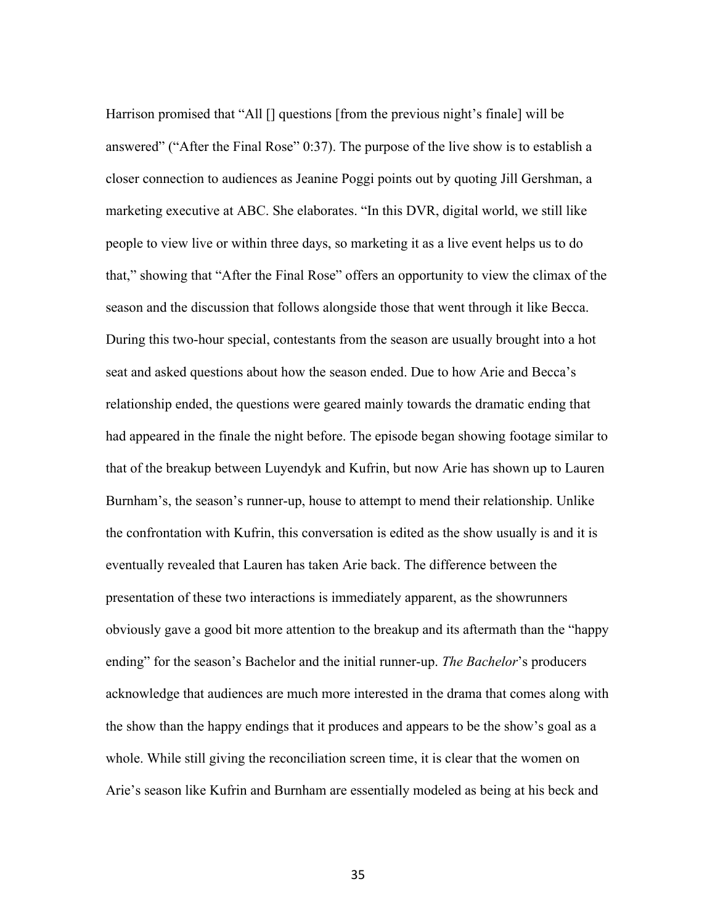Harrison promised that "All [] questions [from the previous night's finale] will be answered" ("After the Final Rose" 0:37). The purpose of the live show is to establish a closer connection to audiences as Jeanine Poggi points out by quoting Jill Gershman, a marketing executive at ABC. She elaborates. "In this DVR, digital world, we still like people to view live or within three days, so marketing it as a live event helps us to do that," showing that "After the Final Rose" offers an opportunity to view the climax of the season and the discussion that follows alongside those that went through it like Becca. During this two-hour special, contestants from the season are usually brought into a hot seat and asked questions about how the season ended. Due to how Arie and Becca's relationship ended, the questions were geared mainly towards the dramatic ending that had appeared in the finale the night before. The episode began showing footage similar to that of the breakup between Luyendyk and Kufrin, but now Arie has shown up to Lauren Burnham's, the season's runner-up, house to attempt to mend their relationship. Unlike the confrontation with Kufrin, this conversation is edited as the show usually is and it is eventually revealed that Lauren has taken Arie back. The difference between the presentation of these two interactions is immediately apparent, as the showrunners obviously gave a good bit more attention to the breakup and its aftermath than the "happy ending" for the season's Bachelor and the initial runner-up. *The Bachelor*'s producers acknowledge that audiences are much more interested in the drama that comes along with the show than the happy endings that it produces and appears to be the show's goal as a whole. While still giving the reconciliation screen time, it is clear that the women on Arie's season like Kufrin and Burnham are essentially modeled as being at his beck and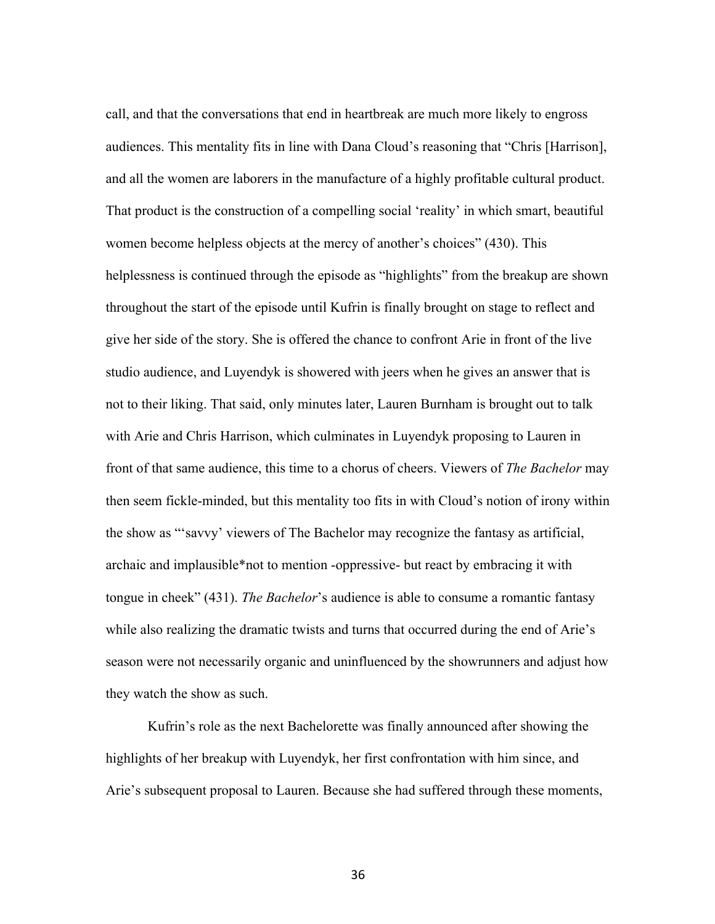call, and that the conversations that end in heartbreak are much more likely to engross audiences. This mentality fits in line with Dana Cloud's reasoning that "Chris [Harrison], and all the women are laborers in the manufacture of a highly profitable cultural product. That product is the construction of a compelling social 'reality' in which smart, beautiful women become helpless objects at the mercy of another's choices" (430). This helplessness is continued through the episode as "highlights" from the breakup are shown throughout the start of the episode until Kufrin is finally brought on stage to reflect and give her side of the story. She is offered the chance to confront Arie in front of the live studio audience, and Luyendyk is showered with jeers when he gives an answer that is not to their liking. That said, only minutes later, Lauren Burnham is brought out to talk with Arie and Chris Harrison, which culminates in Luyendyk proposing to Lauren in front of that same audience, this time to a chorus of cheers. Viewers of *The Bachelor* may then seem fickle-minded, but this mentality too fits in with Cloud's notion of irony within the show as "'savvy' viewers of The Bachelor may recognize the fantasy as artificial, archaic and implausible\*not to mention -oppressive- but react by embracing it with tongue in cheek" (431). *The Bachelor*'s audience is able to consume a romantic fantasy while also realizing the dramatic twists and turns that occurred during the end of Arie's season were not necessarily organic and uninfluenced by the showrunners and adjust how they watch the show as such.

Kufrin's role as the next Bachelorette was finally announced after showing the highlights of her breakup with Luyendyk, her first confrontation with him since, and Arie's subsequent proposal to Lauren. Because she had suffered through these moments,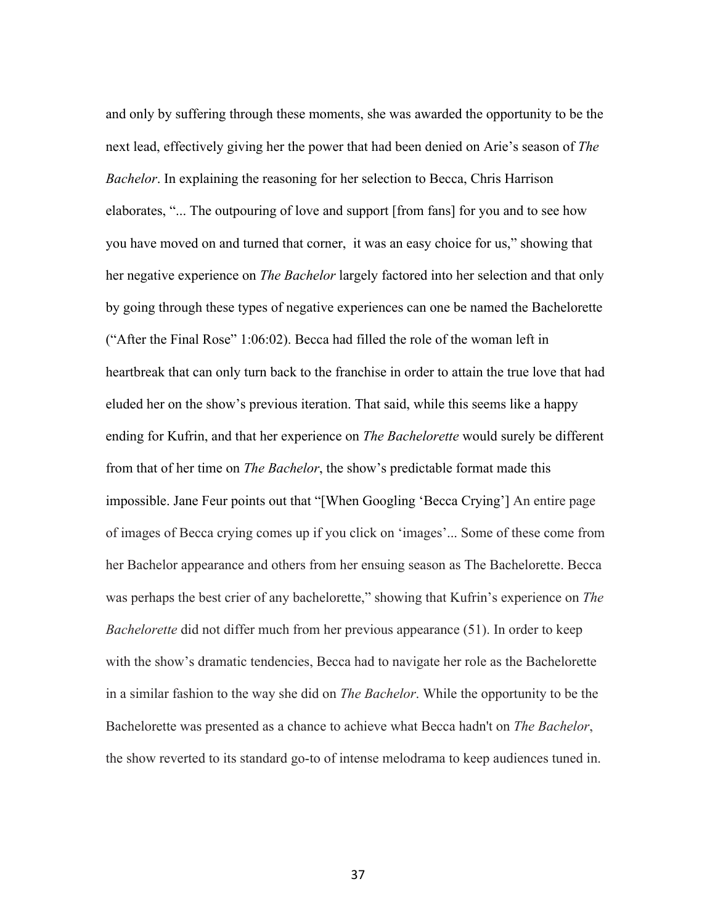and only by suffering through these moments, she was awarded the opportunity to be the next lead, effectively giving her the power that had been denied on Arie's season of *The Bachelor*. In explaining the reasoning for her selection to Becca, Chris Harrison elaborates, "... The outpouring of love and support [from fans] for you and to see how you have moved on and turned that corner, it was an easy choice for us," showing that her negative experience on *The Bachelor* largely factored into her selection and that only by going through these types of negative experiences can one be named the Bachelorette ("After the Final Rose" 1:06:02). Becca had filled the role of the woman left in heartbreak that can only turn back to the franchise in order to attain the true love that had eluded her on the show's previous iteration. That said, while this seems like a happy ending for Kufrin, and that her experience on *The Bachelorette* would surely be different from that of her time on *The Bachelor*, the show's predictable format made this impossible. Jane Feur points out that "[When Googling 'Becca Crying'] An entire page of images of Becca crying comes up if you click on 'images'... Some of these come from her Bachelor appearance and others from her ensuing season as The Bachelorette. Becca was perhaps the best crier of any bachelorette," showing that Kufrin's experience on *The Bachelorette* did not differ much from her previous appearance (51). In order to keep with the show's dramatic tendencies, Becca had to navigate her role as the Bachelorette in a similar fashion to the way she did on *The Bachelor*. While the opportunity to be the Bachelorette was presented as a chance to achieve what Becca hadn't on *The Bachelor*, the show reverted to its standard go-to of intense melodrama to keep audiences tuned in.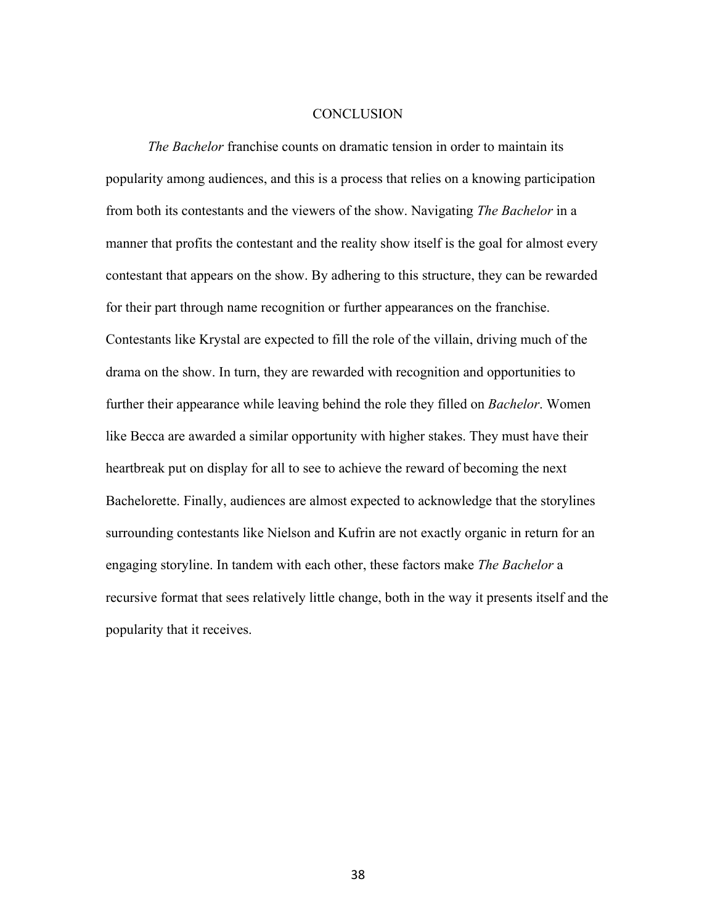#### **CONCLUSION**

*The Bachelor* franchise counts on dramatic tension in order to maintain its popularity among audiences, and this is a process that relies on a knowing participation from both its contestants and the viewers of the show. Navigating *The Bachelor* in a manner that profits the contestant and the reality show itself is the goal for almost every contestant that appears on the show. By adhering to this structure, they can be rewarded for their part through name recognition or further appearances on the franchise. Contestants like Krystal are expected to fill the role of the villain, driving much of the drama on the show. In turn, they are rewarded with recognition and opportunities to further their appearance while leaving behind the role they filled on *Bachelor*. Women like Becca are awarded a similar opportunity with higher stakes. They must have their heartbreak put on display for all to see to achieve the reward of becoming the next Bachelorette. Finally, audiences are almost expected to acknowledge that the storylines surrounding contestants like Nielson and Kufrin are not exactly organic in return for an engaging storyline. In tandem with each other, these factors make *The Bachelor* a recursive format that sees relatively little change, both in the way it presents itself and the popularity that it receives.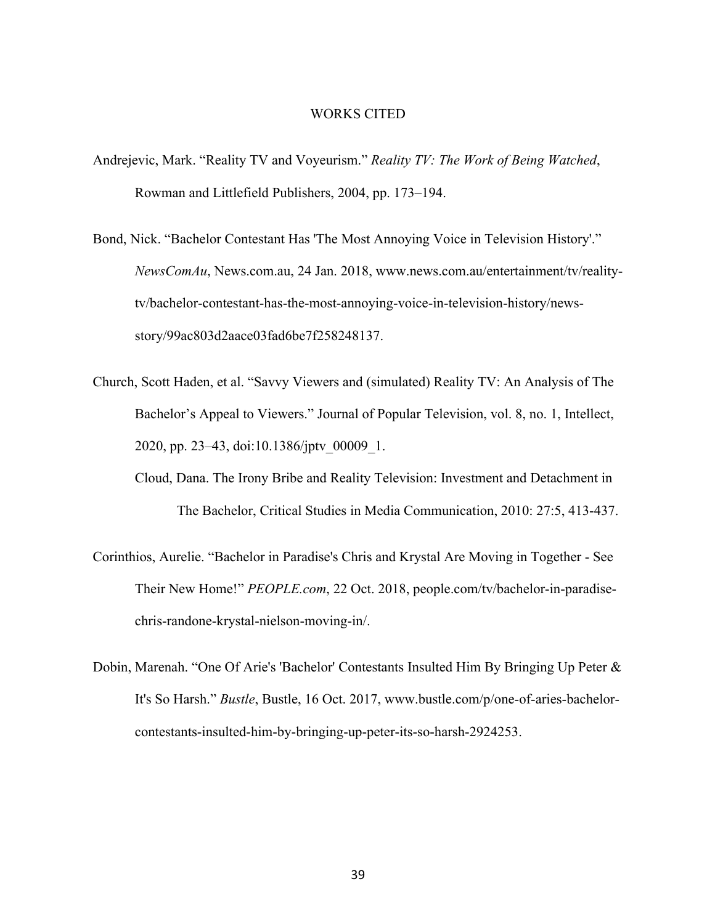#### WORKS CITED

- Andrejevic, Mark. "Reality TV and Voyeurism." *Reality TV: The Work of Being Watched*, Rowman and Littlefield Publishers, 2004, pp. 173–194.
- Bond, Nick. "Bachelor Contestant Has 'The Most Annoying Voice in Television History'." *NewsComAu*, News.com.au, 24 Jan. 2018, www.news.com.au/entertainment/tv/realitytv/bachelor-contestant-has-the-most-annoying-voice-in-television-history/newsstory/99ac803d2aace03fad6be7f258248137.
- Church, Scott Haden, et al. "Savvy Viewers and (simulated) Reality TV: An Analysis of The Bachelor's Appeal to Viewers." Journal of Popular Television, vol. 8, no. 1, Intellect, 2020, pp. 23–43, doi:10.1386/jptv\_00009\_1.
	- Cloud, Dana. The Irony Bribe and Reality Television: Investment and Detachment in The Bachelor, Critical Studies in Media Communication, 2010: 27:5, 413-437.
- Corinthios, Aurelie. "Bachelor in Paradise's Chris and Krystal Are Moving in Together See Their New Home!" *PEOPLE.com*, 22 Oct. 2018, people.com/tv/bachelor-in-paradisechris-randone-krystal-nielson-moving-in/.
- Dobin, Marenah. "One Of Arie's 'Bachelor' Contestants Insulted Him By Bringing Up Peter & It's So Harsh." *Bustle*, Bustle, 16 Oct. 2017, www.bustle.com/p/one-of-aries-bachelorcontestants-insulted-him-by-bringing-up-peter-its-so-harsh-2924253.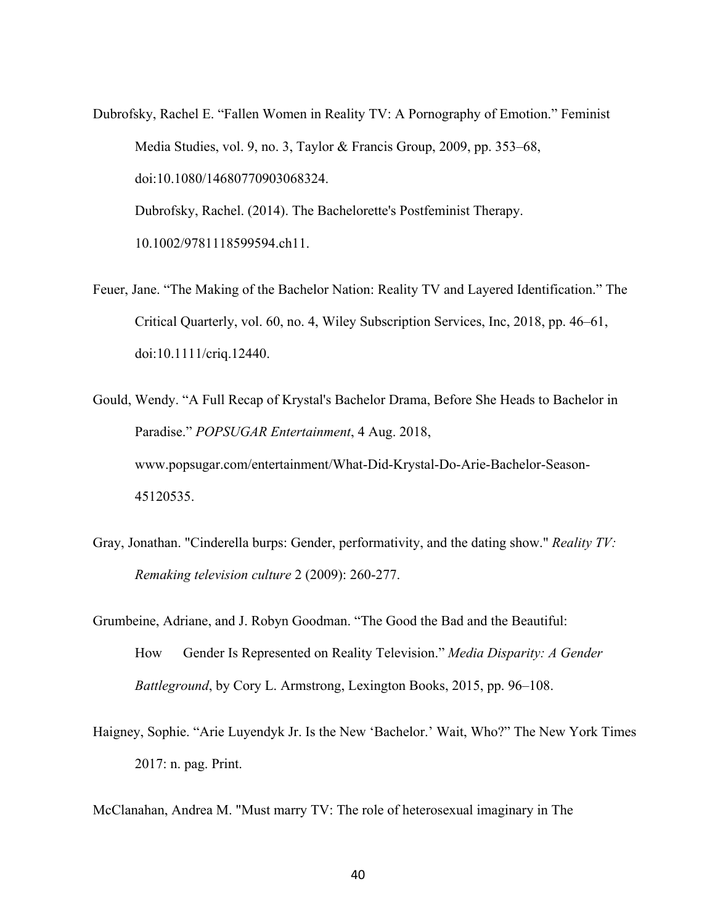- Dubrofsky, Rachel E. "Fallen Women in Reality TV: A Pornography of Emotion." Feminist Media Studies, vol. 9, no. 3, Taylor & Francis Group, 2009, pp. 353–68, doi:10.1080/14680770903068324. Dubrofsky, Rachel. (2014). The Bachelorette's Postfeminist Therapy. 10.1002/9781118599594.ch11.
- Feuer, Jane. "The Making of the Bachelor Nation: Reality TV and Layered Identification." The Critical Quarterly, vol. 60, no. 4, Wiley Subscription Services, Inc, 2018, pp. 46–61, doi:10.1111/criq.12440.
- Gould, Wendy. "A Full Recap of Krystal's Bachelor Drama, Before She Heads to Bachelor in Paradise." *POPSUGAR Entertainment*, 4 Aug. 2018, www.popsugar.com/entertainment/What-Did-Krystal-Do-Arie-Bachelor-Season-45120535.
- Gray, Jonathan. "Cinderella burps: Gender, performativity, and the dating show." *Reality TV: Remaking television culture* 2 (2009): 260-277.
- Grumbeine, Adriane, and J. Robyn Goodman. "The Good the Bad and the Beautiful: How Gender Is Represented on Reality Television." *Media Disparity: A Gender Battleground*, by Cory L. Armstrong, Lexington Books, 2015, pp. 96–108.
- Haigney, Sophie. "Arie Luyendyk Jr. Is the New 'Bachelor.' Wait, Who?" The New York Times 2017: n. pag. Print.

McClanahan, Andrea M. "Must marry TV: The role of heterosexual imaginary in The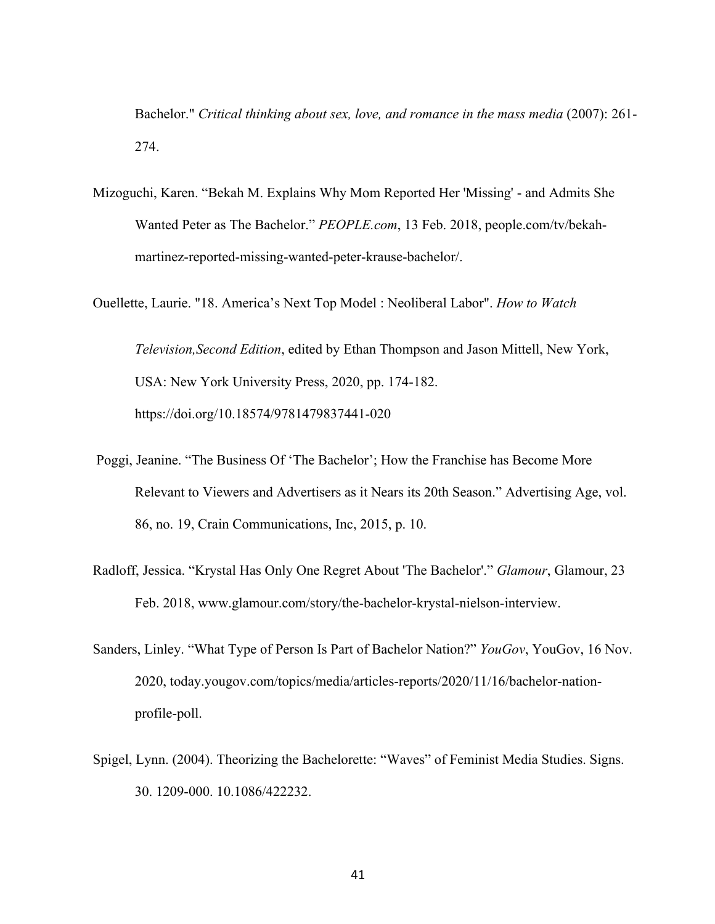Bachelor." *Critical thinking about sex, love, and romance in the mass media* (2007): 261- 274.

Mizoguchi, Karen. "Bekah M. Explains Why Mom Reported Her 'Missing' - and Admits She Wanted Peter as The Bachelor." *PEOPLE.com*, 13 Feb. 2018, people.com/tv/bekahmartinez-reported-missing-wanted-peter-krause-bachelor/.

Ouellette, Laurie. "18. America's Next Top Model : Neoliberal Labor". *How to Watch* 

*Television,Second Edition*, edited by Ethan Thompson and Jason Mittell, New York, USA: New York University Press, 2020, pp. 174-182. https://doi.org/10.18574/9781479837441-020

- Poggi, Jeanine. "The Business Of 'The Bachelor'; How the Franchise has Become More Relevant to Viewers and Advertisers as it Nears its 20th Season." Advertising Age, vol. 86, no. 19, Crain Communications, Inc, 2015, p. 10.
- Radloff, Jessica. "Krystal Has Only One Regret About 'The Bachelor'." *Glamour*, Glamour, 23 Feb. 2018, www.glamour.com/story/the-bachelor-krystal-nielson-interview.
- Sanders, Linley. "What Type of Person Is Part of Bachelor Nation?" *YouGov*, YouGov, 16 Nov. 2020, today.yougov.com/topics/media/articles-reports/2020/11/16/bachelor-nationprofile-poll.
- Spigel, Lynn. (2004). Theorizing the Bachelorette: "Waves" of Feminist Media Studies. Signs. 30. 1209-000. 10.1086/422232.